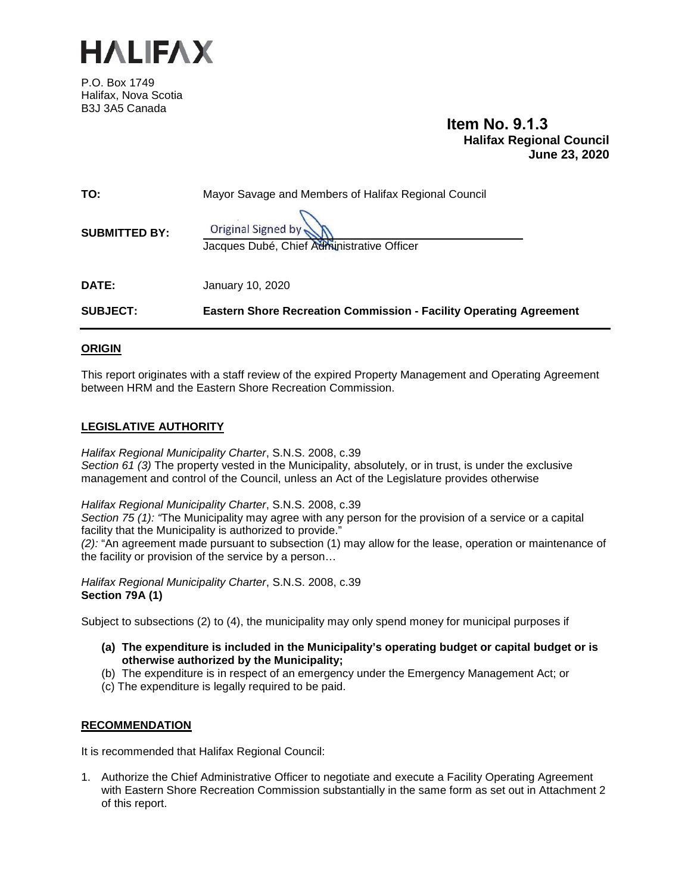

P.O. Box 1749 Halifax, Nova Scotia B3J 3A5 Canada

**Item No. 9.1.3 Halifax Regional Council June 23, 2020**

| <b>SUBJECT:</b>      | <b>Eastern Shore Recreation Commission - Facility Operating Agreement</b> |
|----------------------|---------------------------------------------------------------------------|
| <b>DATE:</b>         | January 10, 2020                                                          |
| <b>SUBMITTED BY:</b> | Original Signed by<br>Jacques Dubé, Chief Administrative Officer          |
| TO:                  | Mayor Savage and Members of Halifax Regional Council                      |

#### **ORIGIN**

This report originates with a staff review of the expired Property Management and Operating Agreement between HRM and the Eastern Shore Recreation Commission.

#### **LEGISLATIVE AUTHORITY**

*Halifax Regional Municipality Charter*, S.N.S. 2008, c.39 *Section 61 (3)* The property vested in the Municipality, absolutely, or in trust, is under the exclusive management and control of the Council, unless an Act of the Legislature provides otherwise

*Halifax Regional Municipality Charter*, S.N.S. 2008, c.39

*Section 75 (1): "*The Municipality may agree with any person for the provision of a service or a capital facility that the Municipality is authorized to provide."

*(2):* "An agreement made pursuant to subsection (1) may allow for the lease, operation or maintenance of the facility or provision of the service by a person…

*Halifax Regional Municipality Charter*, S.N.S. 2008, c.39 **Section 79A (1)**

Subject to subsections (2) to (4), the municipality may only spend money for municipal purposes if

- **(a) The expenditure is included in the Municipality's operating budget or capital budget or is otherwise authorized by the Municipality;**
- (b) The expenditure is in respect of an emergency under the Emergency Management Act; or
- (c) The expenditure is legally required to be paid.

#### **RECOMMENDATION**

It is recommended that Halifax Regional Council:

1. Authorize the Chief Administrative Officer to negotiate and execute a Facility Operating Agreement with Eastern Shore Recreation Commission substantially in the same form as set out in Attachment 2 of this report.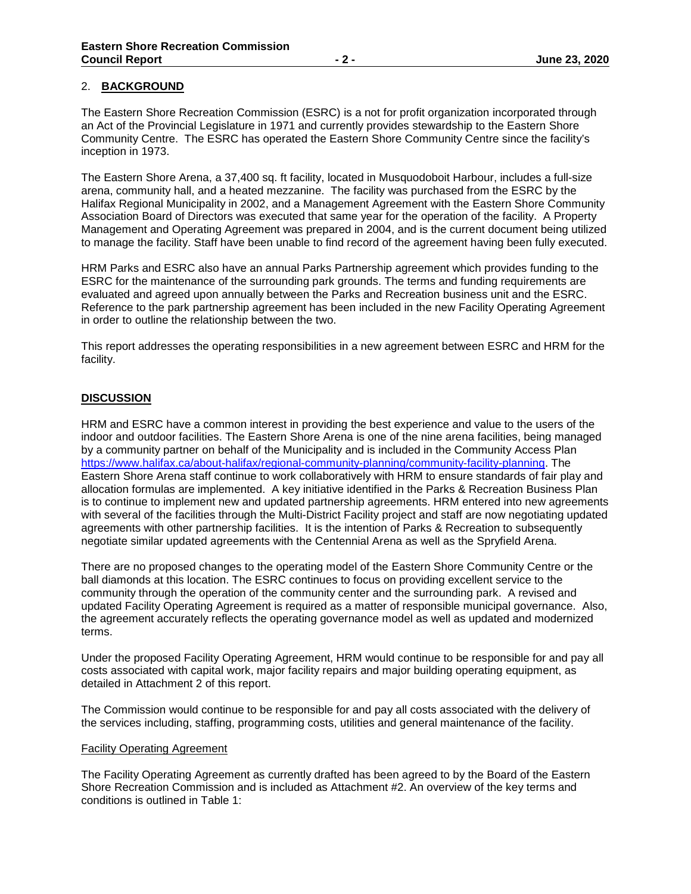#### 2. **BACKGROUND**

The Eastern Shore Recreation Commission (ESRC) is a not for profit organization incorporated through an Act of the Provincial Legislature in 1971 and currently provides stewardship to the Eastern Shore Community Centre. The ESRC has operated the Eastern Shore Community Centre since the facility's inception in 1973.

The Eastern Shore Arena, a 37,400 sq. ft facility, located in Musquodoboit Harbour, includes a full-size arena, community hall, and a heated mezzanine. The facility was purchased from the ESRC by the Halifax Regional Municipality in 2002, and a Management Agreement with the Eastern Shore Community Association Board of Directors was executed that same year for the operation of the facility. A Property Management and Operating Agreement was prepared in 2004, and is the current document being utilized to manage the facility. Staff have been unable to find record of the agreement having been fully executed.

HRM Parks and ESRC also have an annual Parks Partnership agreement which provides funding to the ESRC for the maintenance of the surrounding park grounds. The terms and funding requirements are evaluated and agreed upon annually between the Parks and Recreation business unit and the ESRC. Reference to the park partnership agreement has been included in the new Facility Operating Agreement in order to outline the relationship between the two.

This report addresses the operating responsibilities in a new agreement between ESRC and HRM for the facility.

#### **DISCUSSION**

HRM and ESRC have a common interest in providing the best experience and value to the users of the indoor and outdoor facilities. The Eastern Shore Arena is one of the nine arena facilities, being managed by a community partner on behalf of the Municipality and is included in the Community Access Plan [https://www.halifax.ca/about-halifax/regional-community-planning/community-facility-planning.](https://www.halifax.ca/about-halifax/regional-community-planning/community-facility-planning) The Eastern Shore Arena staff continue to work collaboratively with HRM to ensure standards of fair play and allocation formulas are implemented. A key initiative identified in the Parks & Recreation Business Plan is to continue to implement new and updated partnership agreements. HRM entered into new agreements with several of the facilities through the Multi-District Facility project and staff are now negotiating updated agreements with other partnership facilities. It is the intention of Parks & Recreation to subsequently negotiate similar updated agreements with the Centennial Arena as well as the Spryfield Arena.

There are no proposed changes to the operating model of the Eastern Shore Community Centre or the ball diamonds at this location. The ESRC continues to focus on providing excellent service to the community through the operation of the community center and the surrounding park. A revised and updated Facility Operating Agreement is required as a matter of responsible municipal governance. Also, the agreement accurately reflects the operating governance model as well as updated and modernized terms.

Under the proposed Facility Operating Agreement, HRM would continue to be responsible for and pay all costs associated with capital work, major facility repairs and major building operating equipment, as detailed in Attachment 2 of this report.

The Commission would continue to be responsible for and pay all costs associated with the delivery of the services including, staffing, programming costs, utilities and general maintenance of the facility.

#### Facility Operating Agreement

The Facility Operating Agreement as currently drafted has been agreed to by the Board of the Eastern Shore Recreation Commission and is included as Attachment #2. An overview of the key terms and conditions is outlined in Table 1: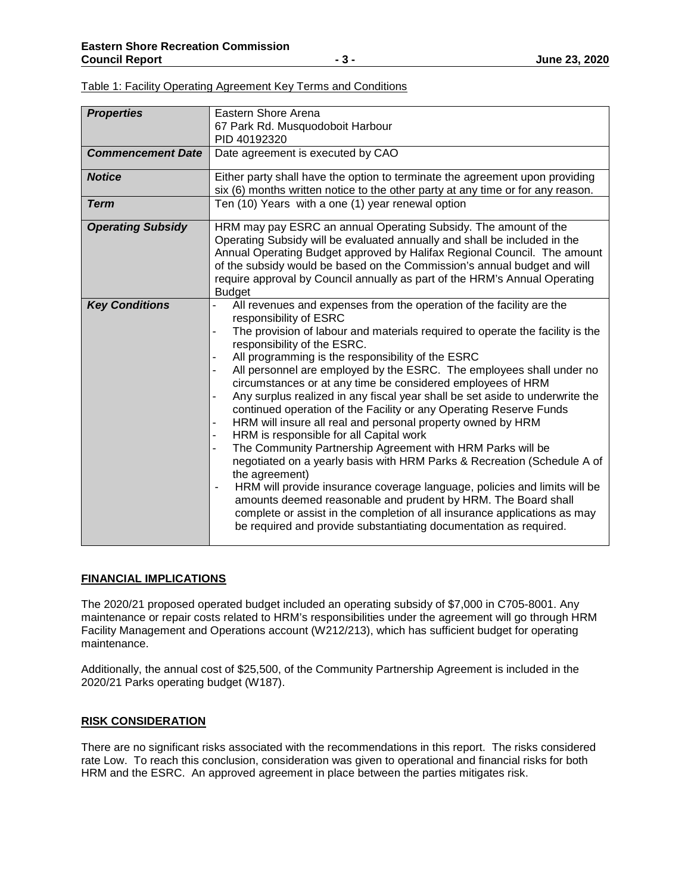| <b>Properties</b>        | Eastern Shore Arena                                                             |
|--------------------------|---------------------------------------------------------------------------------|
|                          | 67 Park Rd. Musquodoboit Harbour                                                |
|                          | PID 40192320                                                                    |
| <b>Commencement Date</b> | Date agreement is executed by CAO                                               |
|                          |                                                                                 |
| <b>Notice</b>            | Either party shall have the option to terminate the agreement upon providing    |
|                          | six (6) months written notice to the other party at any time or for any reason. |
| <b>Term</b>              | Ten (10) Years with a one (1) year renewal option                               |
| <b>Operating Subsidy</b> | HRM may pay ESRC an annual Operating Subsidy. The amount of the                 |
|                          | Operating Subsidy will be evaluated annually and shall be included in the       |
|                          | Annual Operating Budget approved by Halifax Regional Council. The amount        |
|                          | of the subsidy would be based on the Commission's annual budget and will        |
|                          | require approval by Council annually as part of the HRM's Annual Operating      |
|                          | <b>Budget</b>                                                                   |
| <b>Key Conditions</b>    | All revenues and expenses from the operation of the facility are the            |
|                          | responsibility of ESRC                                                          |
|                          | The provision of labour and materials required to operate the facility is the   |
|                          | responsibility of the ESRC.                                                     |
|                          | All programming is the responsibility of the ESRC                               |
|                          | All personnel are employed by the ESRC. The employees shall under no            |
|                          | circumstances or at any time be considered employees of HRM                     |
|                          | Any surplus realized in any fiscal year shall be set aside to underwrite the    |
|                          | continued operation of the Facility or any Operating Reserve Funds              |
|                          | HRM will insure all real and personal property owned by HRM                     |
|                          | HRM is responsible for all Capital work                                         |
|                          | The Community Partnership Agreement with HRM Parks will be                      |
|                          | negotiated on a yearly basis with HRM Parks & Recreation (Schedule A of         |
|                          | the agreement)                                                                  |
|                          | HRM will provide insurance coverage language, policies and limits will be       |
|                          |                                                                                 |
|                          | amounts deemed reasonable and prudent by HRM. The Board shall                   |
|                          | complete or assist in the completion of all insurance applications as may       |
|                          | be required and provide substantiating documentation as required.               |
|                          |                                                                                 |

Table 1: Facility Operating Agreement Key Terms and Conditions

#### **FINANCIAL IMPLICATIONS**

The 2020/21 proposed operated budget included an operating subsidy of \$7,000 in C705-8001. Any maintenance or repair costs related to HRM's responsibilities under the agreement will go through HRM Facility Management and Operations account (W212/213), which has sufficient budget for operating maintenance.

Additionally, the annual cost of \$25,500, of the Community Partnership Agreement is included in the 2020/21 Parks operating budget (W187).

#### **RISK CONSIDERATION**

There are no significant risks associated with the recommendations in this report. The risks considered rate Low. To reach this conclusion, consideration was given to operational and financial risks for both HRM and the ESRC. An approved agreement in place between the parties mitigates risk.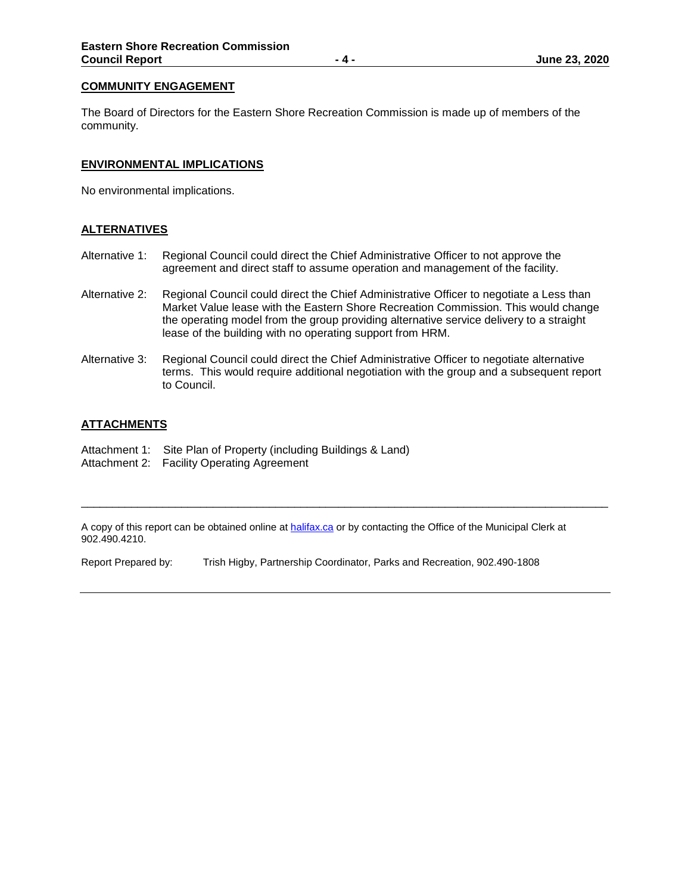#### **COMMUNITY ENGAGEMENT**

The Board of Directors for the Eastern Shore Recreation Commission is made up of members of the community.

#### **ENVIRONMENTAL IMPLICATIONS**

No environmental implications.

#### **ALTERNATIVES**

- Alternative 1: Regional Council could direct the Chief Administrative Officer to not approve the agreement and direct staff to assume operation and management of the facility.
- Alternative 2: Regional Council could direct the Chief Administrative Officer to negotiate a Less than Market Value lease with the Eastern Shore Recreation Commission. This would change the operating model from the group providing alternative service delivery to a straight lease of the building with no operating support from HRM.
- Alternative 3: Regional Council could direct the Chief Administrative Officer to negotiate alternative terms. This would require additional negotiation with the group and a subsequent report to Council.

#### **ATTACHMENTS**

- Attachment 1: Site Plan of Property (including Buildings & Land)
- Attachment 2: Facility Operating Agreement

A copy of this report can be obtained online at **halifax.ca** or by contacting the Office of the Municipal Clerk at 902.490.4210.

\_\_\_\_\_\_\_\_\_\_\_\_\_\_\_\_\_\_\_\_\_\_\_\_\_\_\_\_\_\_\_\_\_\_\_\_\_\_\_\_\_\_\_\_\_\_\_\_\_\_\_\_\_\_\_\_\_\_\_\_\_\_\_\_\_\_\_\_\_\_\_\_\_\_\_\_\_\_\_\_\_\_\_\_

Report Prepared by: Trish Higby, Partnership Coordinator, Parks and Recreation, 902.490-1808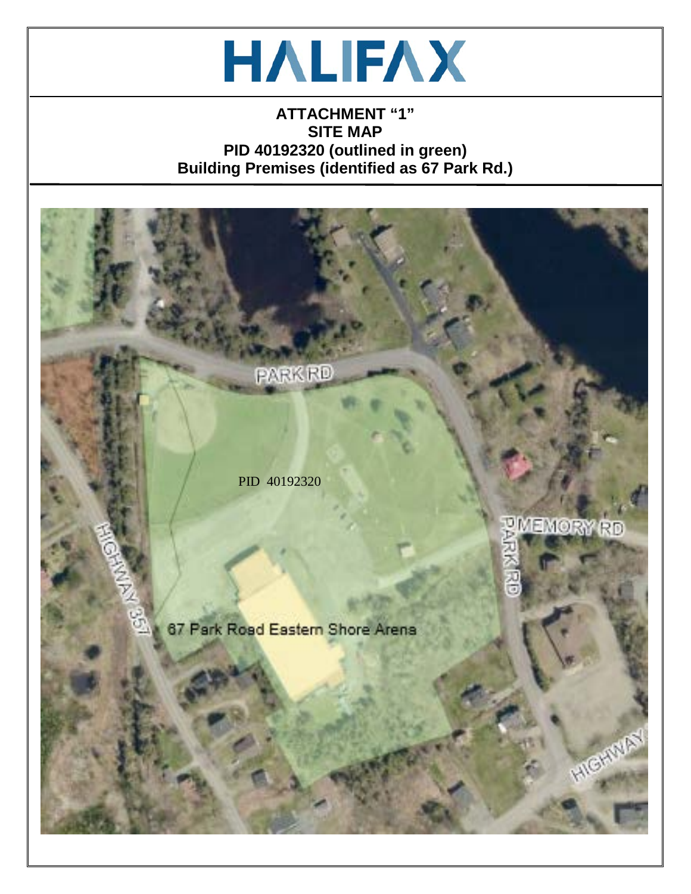

## **ATTACHMENT "1" SITE MAP PID 40192320 (outlined in green) Building Premises (identified as 67 Park Rd.)**

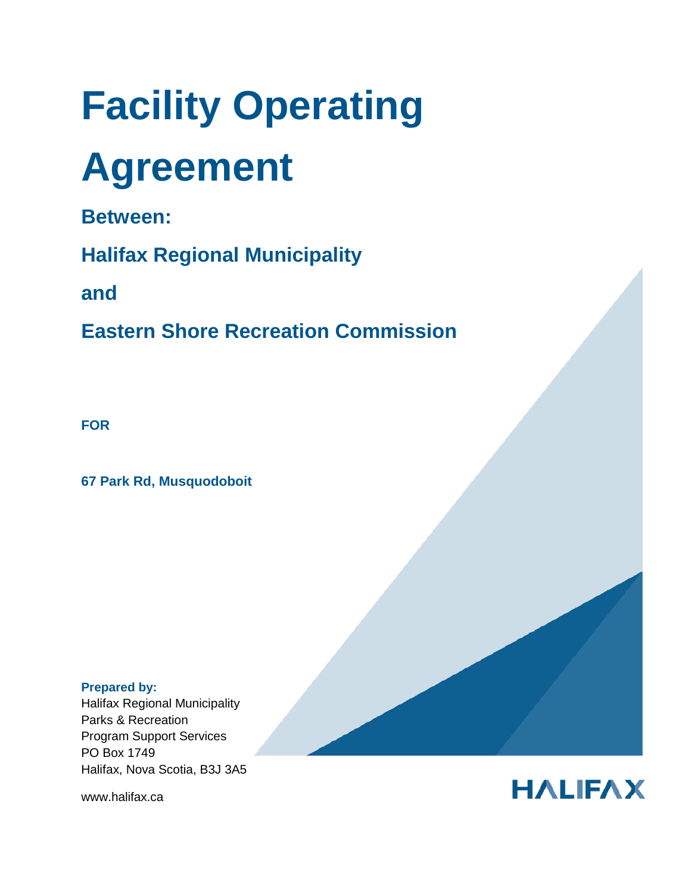# **Facility Operating**

## **Agreement**

**Between:**

**Halifax Regional Municipality**

**and**

**Eastern Shore Recreation Commission**

**FOR** 

**67 Park Rd, Musquodoboit**

#### **Prepared by:**

Halifax Regional Municipality Parks & Recreation Program Support Services PO Box 1749 Halifax, Nova Scotia, B3J 3A5

www.halifax.ca

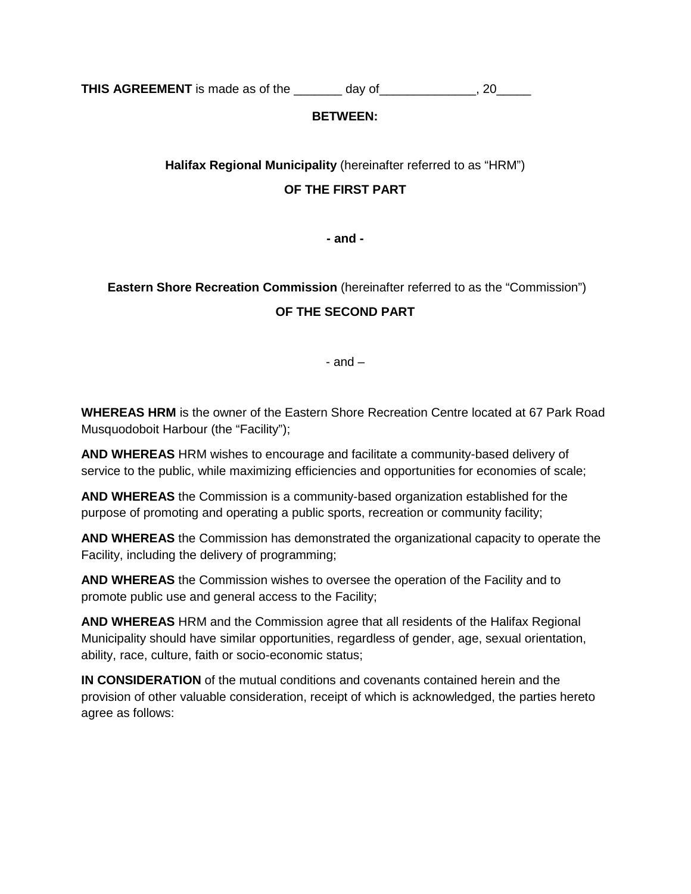**THIS AGREEMENT** is made as of the \_\_\_\_\_\_\_ day of \_\_\_\_\_\_\_\_\_\_\_\_, 20\_\_\_\_\_

#### **BETWEEN:**

#### **Halifax Regional Municipality** (hereinafter referred to as "HRM")

#### **OF THE FIRST PART**

**- and -**

## **Eastern Shore Recreation Commission** (hereinafter referred to as the "Commission") **OF THE SECOND PART**

- and –

**WHEREAS HRM** is the owner of the Eastern Shore Recreation Centre located at 67 Park Road Musquodoboit Harbour (the "Facility");

**AND WHEREAS** HRM wishes to encourage and facilitate a community-based delivery of service to the public, while maximizing efficiencies and opportunities for economies of scale;

**AND WHEREAS** the Commission is a community-based organization established for the purpose of promoting and operating a public sports, recreation or community facility;

**AND WHEREAS** the Commission has demonstrated the organizational capacity to operate the Facility, including the delivery of programming;

**AND WHEREAS** the Commission wishes to oversee the operation of the Facility and to promote public use and general access to the Facility;

**AND WHEREAS** HRM and the Commission agree that all residents of the Halifax Regional Municipality should have similar opportunities, regardless of gender, age, sexual orientation, ability, race, culture, faith or socio-economic status;

**IN CONSIDERATION** of the mutual conditions and covenants contained herein and the provision of other valuable consideration, receipt of which is acknowledged, the parties hereto agree as follows: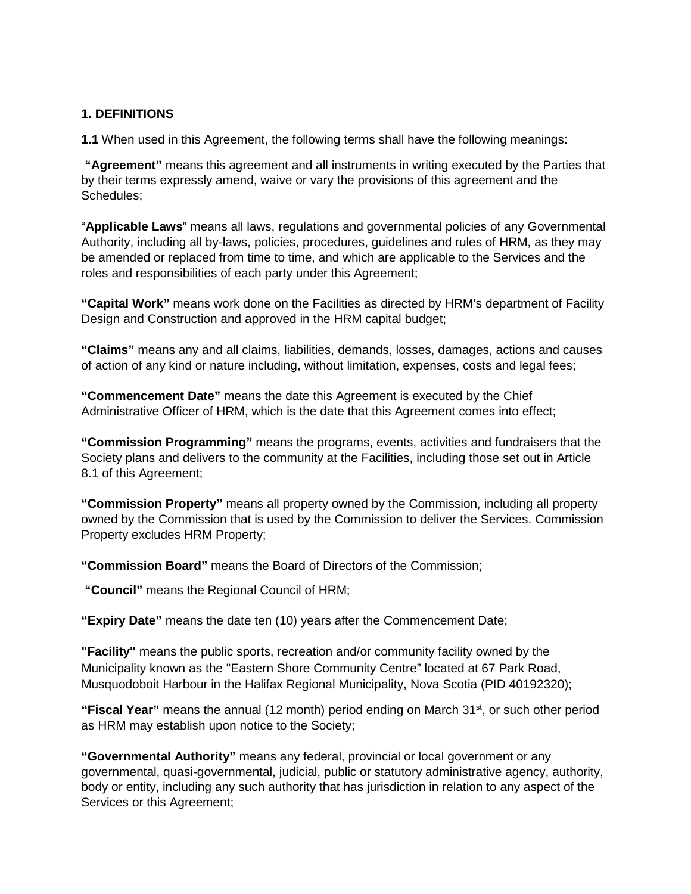#### **1. DEFINITIONS**

**1.1** When used in this Agreement, the following terms shall have the following meanings:

**"Agreement"** means this agreement and all instruments in writing executed by the Parties that by their terms expressly amend, waive or vary the provisions of this agreement and the Schedules;

"**Applicable Laws**" means all laws, regulations and governmental policies of any Governmental Authority, including all by-laws, policies, procedures, guidelines and rules of HRM, as they may be amended or replaced from time to time, and which are applicable to the Services and the roles and responsibilities of each party under this Agreement;

**"Capital Work"** means work done on the Facilities as directed by HRM's department of Facility Design and Construction and approved in the HRM capital budget;

**"Claims"** means any and all claims, liabilities, demands, losses, damages, actions and causes of action of any kind or nature including, without limitation, expenses, costs and legal fees;

**"Commencement Date"** means the date this Agreement is executed by the Chief Administrative Officer of HRM, which is the date that this Agreement comes into effect;

**"Commission Programming"** means the programs, events, activities and fundraisers that the Society plans and delivers to the community at the Facilities, including those set out in Article 8.1 of this Agreement;

**"Commission Property"** means all property owned by the Commission, including all property owned by the Commission that is used by the Commission to deliver the Services. Commission Property excludes HRM Property;

**"Commission Board"** means the Board of Directors of the Commission;

**"Council"** means the Regional Council of HRM;

**"Expiry Date"** means the date ten (10) years after the Commencement Date;

**"Facility"** means the public sports, recreation and/or community facility owned by the Municipality known as the "Eastern Shore Community Centre" located at 67 Park Road, Musquodoboit Harbour in the Halifax Regional Municipality, Nova Scotia (PID 40192320);

**"Fiscal Year"** means the annual (12 month) period ending on March 31<sup>st</sup>, or such other period as HRM may establish upon notice to the Society;

**"Governmental Authority"** means any federal, provincial or local government or any governmental, quasi-governmental, judicial, public or statutory administrative agency, authority, body or entity, including any such authority that has jurisdiction in relation to any aspect of the Services or this Agreement;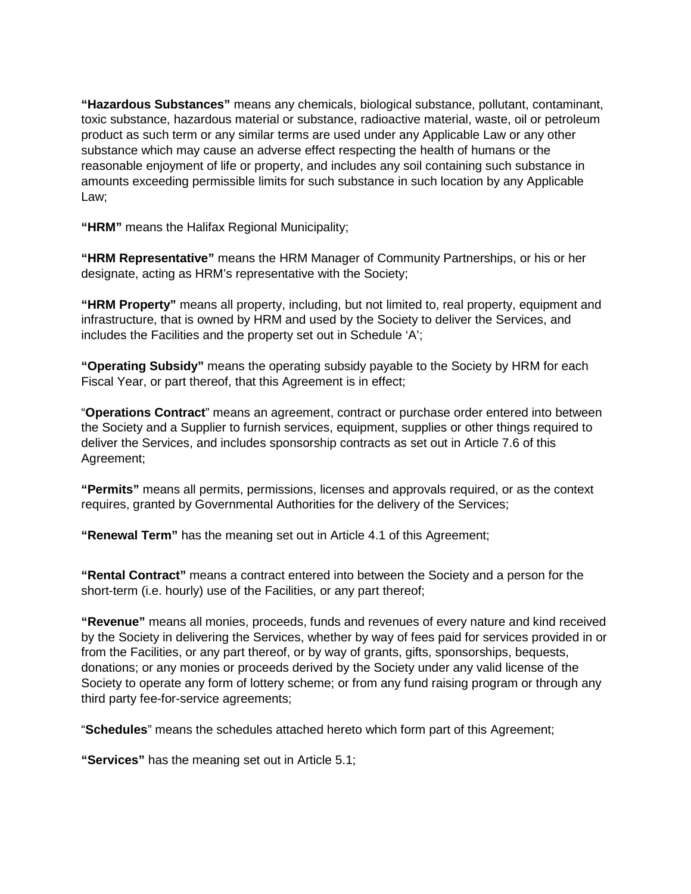**"Hazardous Substances"** means any chemicals, biological substance, pollutant, contaminant, toxic substance, hazardous material or substance, radioactive material, waste, oil or petroleum product as such term or any similar terms are used under any Applicable Law or any other substance which may cause an adverse effect respecting the health of humans or the reasonable enjoyment of life or property, and includes any soil containing such substance in amounts exceeding permissible limits for such substance in such location by any Applicable Law;

**"HRM"** means the Halifax Regional Municipality;

**"HRM Representative"** means the HRM Manager of Community Partnerships, or his or her designate, acting as HRM's representative with the Society;

**"HRM Property"** means all property, including, but not limited to, real property, equipment and infrastructure, that is owned by HRM and used by the Society to deliver the Services, and includes the Facilities and the property set out in Schedule 'A';

**"Operating Subsidy"** means the operating subsidy payable to the Society by HRM for each Fiscal Year, or part thereof, that this Agreement is in effect;

"**Operations Contract**" means an agreement, contract or purchase order entered into between the Society and a Supplier to furnish services, equipment, supplies or other things required to deliver the Services, and includes sponsorship contracts as set out in Article 7.6 of this Agreement;

**"Permits"** means all permits, permissions, licenses and approvals required, or as the context requires, granted by Governmental Authorities for the delivery of the Services;

**"Renewal Term"** has the meaning set out in Article 4.1 of this Agreement;

**"Rental Contract"** means a contract entered into between the Society and a person for the short-term (i.e. hourly) use of the Facilities, or any part thereof;

**"Revenue"** means all monies, proceeds, funds and revenues of every nature and kind received by the Society in delivering the Services, whether by way of fees paid for services provided in or from the Facilities, or any part thereof, or by way of grants, gifts, sponsorships, bequests, donations; or any monies or proceeds derived by the Society under any valid license of the Society to operate any form of lottery scheme; or from any fund raising program or through any third party fee-for-service agreements;

"**Schedules**" means the schedules attached hereto which form part of this Agreement;

**"Services"** has the meaning set out in Article 5.1;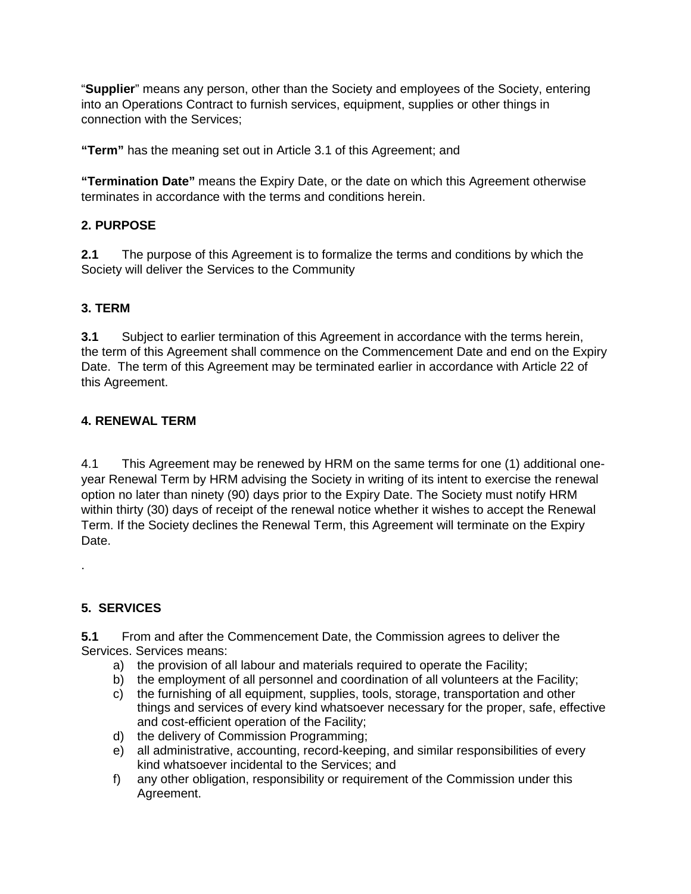"**Supplier**" means any person, other than the Society and employees of the Society, entering into an Operations Contract to furnish services, equipment, supplies or other things in connection with the Services;

**"Term"** has the meaning set out in Article 3.1 of this Agreement; and

**"Termination Date"** means the Expiry Date, or the date on which this Agreement otherwise terminates in accordance with the terms and conditions herein.

#### **2. PURPOSE**

**2.1** The purpose of this Agreement is to formalize the terms and conditions by which the Society will deliver the Services to the Community

#### **3. TERM**

**3.1** Subject to earlier termination of this Agreement in accordance with the terms herein, the term of this Agreement shall commence on the Commencement Date and end on the Expiry Date. The term of this Agreement may be terminated earlier in accordance with Article 22 of this Agreement.

## **4. RENEWAL TERM**

4.1 This Agreement may be renewed by HRM on the same terms for one (1) additional oneyear Renewal Term by HRM advising the Society in writing of its intent to exercise the renewal option no later than ninety (90) days prior to the Expiry Date. The Society must notify HRM within thirty (30) days of receipt of the renewal notice whether it wishes to accept the Renewal Term. If the Society declines the Renewal Term, this Agreement will terminate on the Expiry Date.

#### **5. SERVICES**

.

**5.1** From and after the Commencement Date, the Commission agrees to deliver the Services. Services means:

- a) the provision of all labour and materials required to operate the Facility;
- b) the employment of all personnel and coordination of all volunteers at the Facility;
- c) the furnishing of all equipment, supplies, tools, storage, transportation and other things and services of every kind whatsoever necessary for the proper, safe, effective and cost-efficient operation of the Facility;
- d) the delivery of Commission Programming;
- e) all administrative, accounting, record-keeping, and similar responsibilities of every kind whatsoever incidental to the Services; and
- f) any other obligation, responsibility or requirement of the Commission under this Agreement.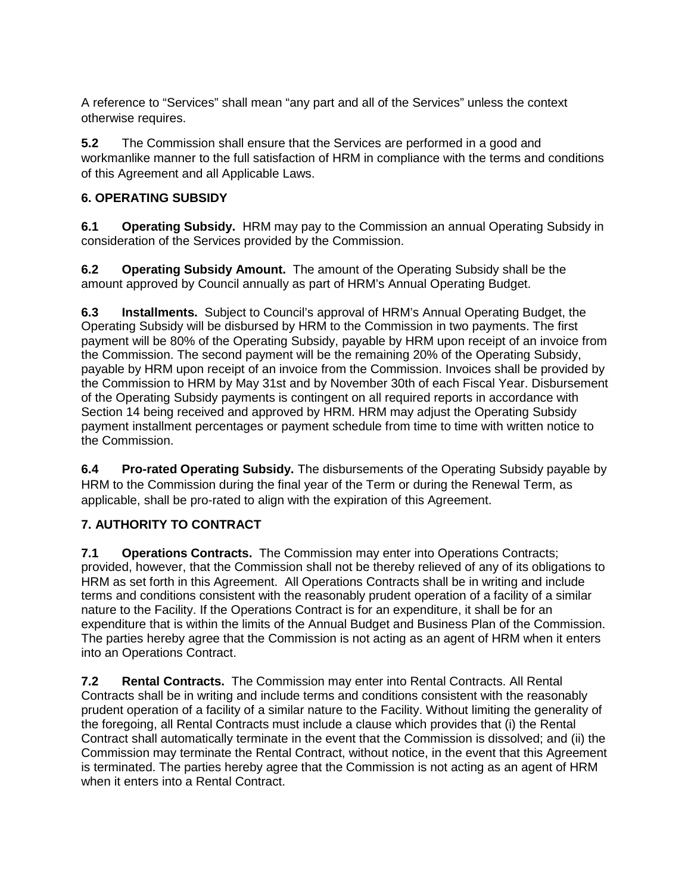A reference to "Services" shall mean "any part and all of the Services" unless the context otherwise requires.

**5.2** The Commission shall ensure that the Services are performed in a good and workmanlike manner to the full satisfaction of HRM in compliance with the terms and conditions of this Agreement and all Applicable Laws.

## **6. OPERATING SUBSIDY**

**6.1 Operating Subsidy.** HRM may pay to the Commission an annual Operating Subsidy in consideration of the Services provided by the Commission.

**6.2 Operating Subsidy Amount.** The amount of the Operating Subsidy shall be the amount approved by Council annually as part of HRM's Annual Operating Budget.

**6.3 Installments.** Subject to Council's approval of HRM's Annual Operating Budget, the Operating Subsidy will be disbursed by HRM to the Commission in two payments. The first payment will be 80% of the Operating Subsidy, payable by HRM upon receipt of an invoice from the Commission. The second payment will be the remaining 20% of the Operating Subsidy, payable by HRM upon receipt of an invoice from the Commission. Invoices shall be provided by the Commission to HRM by May 31st and by November 30th of each Fiscal Year. Disbursement of the Operating Subsidy payments is contingent on all required reports in accordance with Section 14 being received and approved by HRM. HRM may adjust the Operating Subsidy payment installment percentages or payment schedule from time to time with written notice to the Commission.

**6.4 Pro-rated Operating Subsidy.** The disbursements of the Operating Subsidy payable by HRM to the Commission during the final year of the Term or during the Renewal Term, as applicable, shall be pro-rated to align with the expiration of this Agreement.

## **7. AUTHORITY TO CONTRACT**

**7.1 Operations Contracts.** The Commission may enter into Operations Contracts; provided, however, that the Commission shall not be thereby relieved of any of its obligations to HRM as set forth in this Agreement. All Operations Contracts shall be in writing and include terms and conditions consistent with the reasonably prudent operation of a facility of a similar nature to the Facility. If the Operations Contract is for an expenditure, it shall be for an expenditure that is within the limits of the Annual Budget and Business Plan of the Commission. The parties hereby agree that the Commission is not acting as an agent of HRM when it enters into an Operations Contract.

**7.2 Rental Contracts.** The Commission may enter into Rental Contracts. All Rental Contracts shall be in writing and include terms and conditions consistent with the reasonably prudent operation of a facility of a similar nature to the Facility. Without limiting the generality of the foregoing, all Rental Contracts must include a clause which provides that (i) the Rental Contract shall automatically terminate in the event that the Commission is dissolved; and (ii) the Commission may terminate the Rental Contract, without notice, in the event that this Agreement is terminated. The parties hereby agree that the Commission is not acting as an agent of HRM when it enters into a Rental Contract.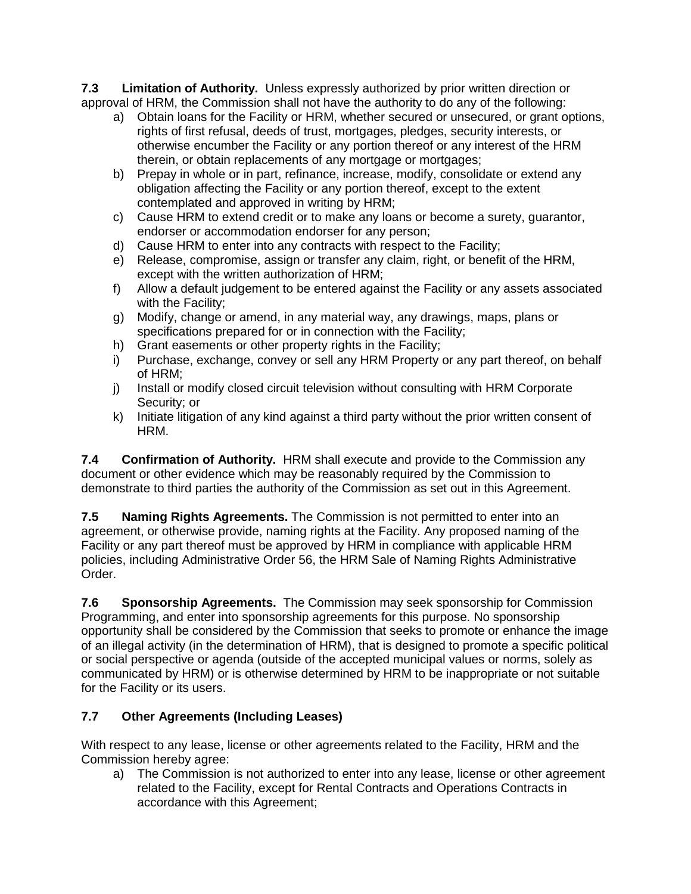**7.3 Limitation of Authority.** Unless expressly authorized by prior written direction or approval of HRM, the Commission shall not have the authority to do any of the following:

- a) Obtain loans for the Facility or HRM, whether secured or unsecured, or grant options, rights of first refusal, deeds of trust, mortgages, pledges, security interests, or otherwise encumber the Facility or any portion thereof or any interest of the HRM therein, or obtain replacements of any mortgage or mortgages;
- b) Prepay in whole or in part, refinance, increase, modify, consolidate or extend any obligation affecting the Facility or any portion thereof, except to the extent contemplated and approved in writing by HRM;
- c) Cause HRM to extend credit or to make any loans or become a surety, guarantor, endorser or accommodation endorser for any person;
- d) Cause HRM to enter into any contracts with respect to the Facility;
- e) Release, compromise, assign or transfer any claim, right, or benefit of the HRM, except with the written authorization of HRM;
- f) Allow a default judgement to be entered against the Facility or any assets associated with the Facility;
- g) Modify, change or amend, in any material way, any drawings, maps, plans or specifications prepared for or in connection with the Facility;
- h) Grant easements or other property rights in the Facility;
- i) Purchase, exchange, convey or sell any HRM Property or any part thereof, on behalf of HRM;
- j) Install or modify closed circuit television without consulting with HRM Corporate Security; or
- k) Initiate litigation of any kind against a third party without the prior written consent of HRM.

**7.4 Confirmation of Authority.** HRM shall execute and provide to the Commission any document or other evidence which may be reasonably required by the Commission to demonstrate to third parties the authority of the Commission as set out in this Agreement.

**7.5 Naming Rights Agreements.** The Commission is not permitted to enter into an agreement, or otherwise provide, naming rights at the Facility. Any proposed naming of the Facility or any part thereof must be approved by HRM in compliance with applicable HRM policies, including Administrative Order 56, the HRM Sale of Naming Rights Administrative Order.

**7.6 Sponsorship Agreements.** The Commission may seek sponsorship for Commission Programming, and enter into sponsorship agreements for this purpose. No sponsorship opportunity shall be considered by the Commission that seeks to promote or enhance the image of an illegal activity (in the determination of HRM), that is designed to promote a specific political or social perspective or agenda (outside of the accepted municipal values or norms, solely as communicated by HRM) or is otherwise determined by HRM to be inappropriate or not suitable for the Facility or its users.

## **7.7 Other Agreements (Including Leases)**

With respect to any lease, license or other agreements related to the Facility, HRM and the Commission hereby agree:

a) The Commission is not authorized to enter into any lease, license or other agreement related to the Facility, except for Rental Contracts and Operations Contracts in accordance with this Agreement;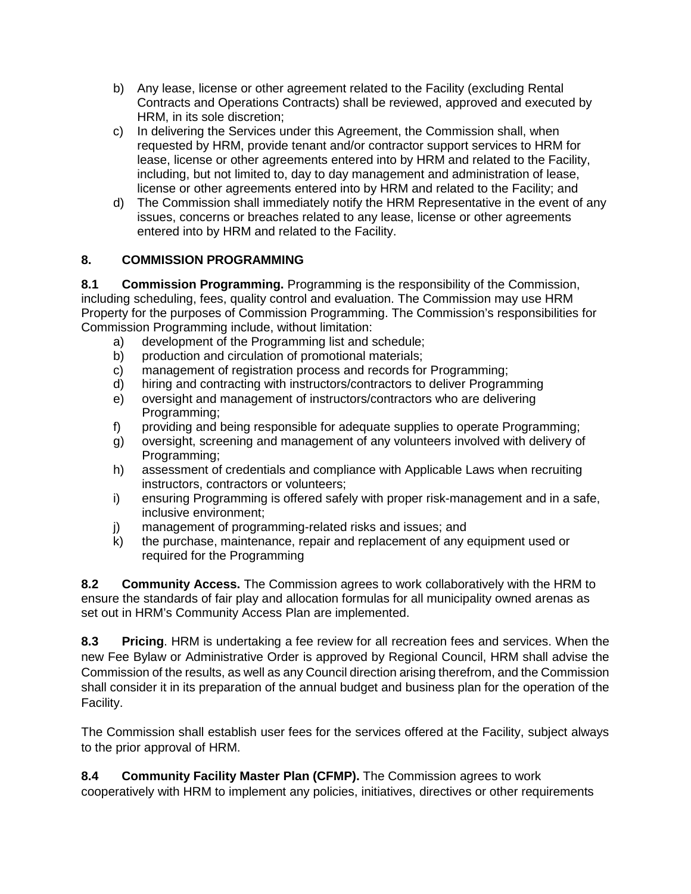- b) Any lease, license or other agreement related to the Facility (excluding Rental Contracts and Operations Contracts) shall be reviewed, approved and executed by HRM, in its sole discretion;
- c) In delivering the Services under this Agreement, the Commission shall, when requested by HRM, provide tenant and/or contractor support services to HRM for lease, license or other agreements entered into by HRM and related to the Facility, including, but not limited to, day to day management and administration of lease, license or other agreements entered into by HRM and related to the Facility; and
- d) The Commission shall immediately notify the HRM Representative in the event of any issues, concerns or breaches related to any lease, license or other agreements entered into by HRM and related to the Facility.

## **8. COMMISSION PROGRAMMING**

**8.1 Commission Programming.** Programming is the responsibility of the Commission, including scheduling, fees, quality control and evaluation. The Commission may use HRM Property for the purposes of Commission Programming. The Commission's responsibilities for Commission Programming include, without limitation:

- a) development of the Programming list and schedule;
- b) production and circulation of promotional materials;
- c) management of registration process and records for Programming;
- d) hiring and contracting with instructors/contractors to deliver Programming
- e) oversight and management of instructors/contractors who are delivering Programming;
- f) providing and being responsible for adequate supplies to operate Programming;
- g) oversight, screening and management of any volunteers involved with delivery of Programming;
- h) assessment of credentials and compliance with Applicable Laws when recruiting instructors, contractors or volunteers;
- i) ensuring Programming is offered safely with proper risk-management and in a safe, inclusive environment;
- j) management of programming-related risks and issues; and
- k) the purchase, maintenance, repair and replacement of any equipment used or required for the Programming

**8.2 Community Access.** The Commission agrees to work collaboratively with the HRM to ensure the standards of fair play and allocation formulas for all municipality owned arenas as set out in HRM's Community Access Plan are implemented.

**8.3 Pricing**. HRM is undertaking a fee review for all recreation fees and services. When the new Fee Bylaw or Administrative Order is approved by Regional Council, HRM shall advise the Commission of the results, as well as any Council direction arising therefrom, and the Commission shall consider it in its preparation of the annual budget and business plan for the operation of the Facility.

The Commission shall establish user fees for the services offered at the Facility, subject always to the prior approval of HRM.

#### **8.4 Community Facility Master Plan (CFMP).** The Commission agrees to work

cooperatively with HRM to implement any policies, initiatives, directives or other requirements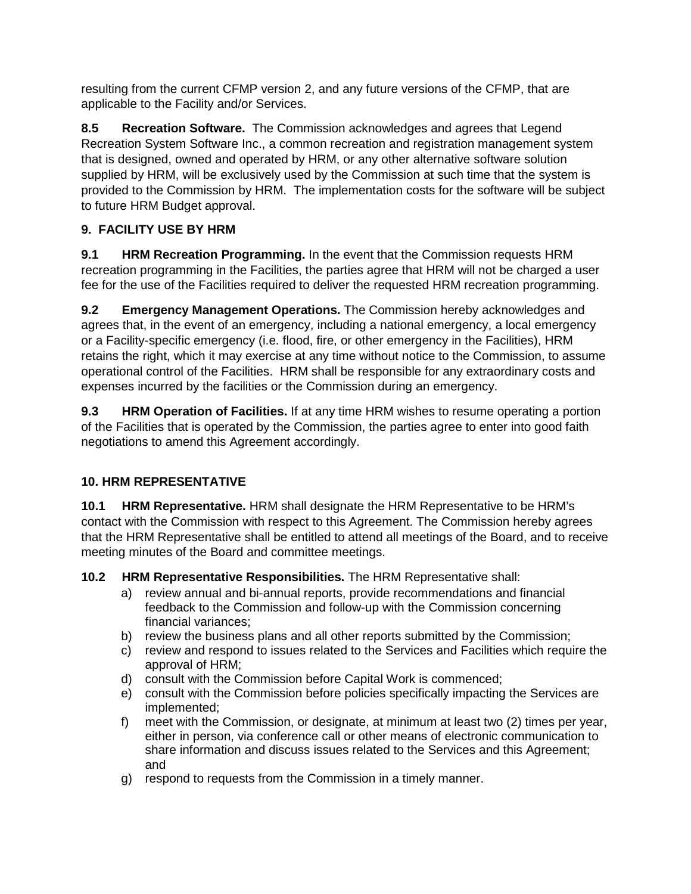resulting from the current CFMP version 2, and any future versions of the CFMP, that are applicable to the Facility and/or Services.

**8.5 Recreation Software.** The Commission acknowledges and agrees that Legend Recreation System Software Inc., a common recreation and registration management system that is designed, owned and operated by HRM, or any other alternative software solution supplied by HRM, will be exclusively used by the Commission at such time that the system is provided to the Commission by HRM. The implementation costs for the software will be subject to future HRM Budget approval.

## **9. FACILITY USE BY HRM**

**9.1 HRM Recreation Programming.** In the event that the Commission requests HRM recreation programming in the Facilities, the parties agree that HRM will not be charged a user fee for the use of the Facilities required to deliver the requested HRM recreation programming.

**9.2 Emergency Management Operations.** The Commission hereby acknowledges and agrees that, in the event of an emergency, including a national emergency, a local emergency or a Facility-specific emergency (i.e. flood, fire, or other emergency in the Facilities), HRM retains the right, which it may exercise at any time without notice to the Commission, to assume operational control of the Facilities. HRM shall be responsible for any extraordinary costs and expenses incurred by the facilities or the Commission during an emergency.

**9.3 HRM Operation of Facilities.** If at any time HRM wishes to resume operating a portion of the Facilities that is operated by the Commission, the parties agree to enter into good faith negotiations to amend this Agreement accordingly.

## **10. HRM REPRESENTATIVE**

**10.1 HRM Representative.** HRM shall designate the HRM Representative to be HRM's contact with the Commission with respect to this Agreement. The Commission hereby agrees that the HRM Representative shall be entitled to attend all meetings of the Board, and to receive meeting minutes of the Board and committee meetings.

**10.2 HRM Representative Responsibilities.** The HRM Representative shall:

- a) review annual and bi-annual reports, provide recommendations and financial feedback to the Commission and follow-up with the Commission concerning financial variances;
- b) review the business plans and all other reports submitted by the Commission;
- c) review and respond to issues related to the Services and Facilities which require the approval of HRM;
- d) consult with the Commission before Capital Work is commenced;
- e) consult with the Commission before policies specifically impacting the Services are implemented;
- f) meet with the Commission, or designate, at minimum at least two (2) times per year, either in person, via conference call or other means of electronic communication to share information and discuss issues related to the Services and this Agreement; and
- g) respond to requests from the Commission in a timely manner.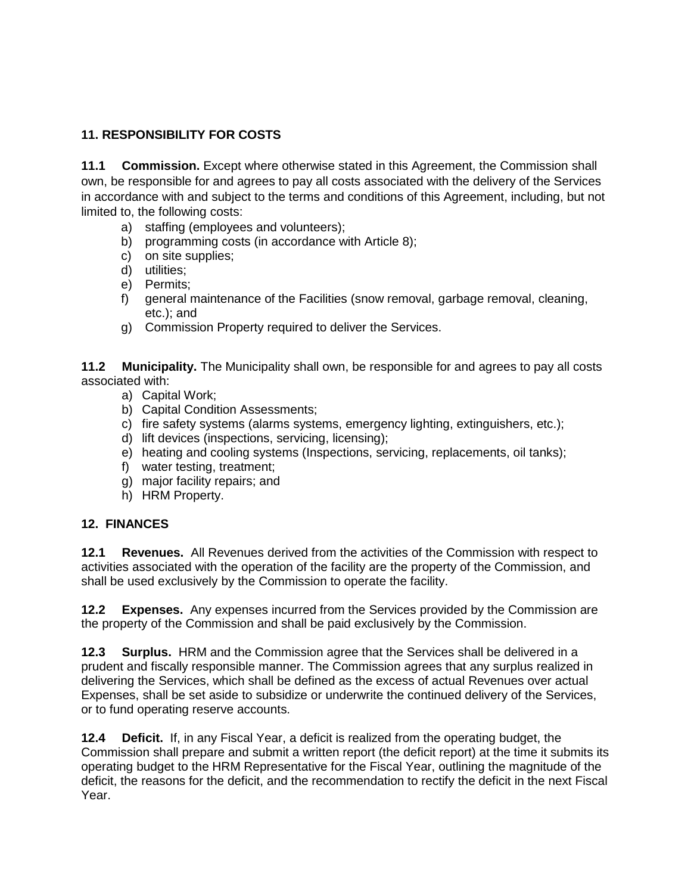## **11. RESPONSIBILITY FOR COSTS**

**11.1 Commission.** Except where otherwise stated in this Agreement, the Commission shall own, be responsible for and agrees to pay all costs associated with the delivery of the Services in accordance with and subject to the terms and conditions of this Agreement, including, but not limited to, the following costs:

- a) staffing (employees and volunteers);
- b) programming costs (in accordance with Article 8);
- c) on site supplies;
- d) utilities;
- e) Permits;
- f) general maintenance of the Facilities (snow removal, garbage removal, cleaning, etc.); and
- g) Commission Property required to deliver the Services.

**11.2 Municipality.** The Municipality shall own, be responsible for and agrees to pay all costs associated with:

- a) Capital Work;
- b) Capital Condition Assessments;
- c) fire safety systems (alarms systems, emergency lighting, extinguishers, etc.);
- d) lift devices (inspections, servicing, licensing);
- e) heating and cooling systems (Inspections, servicing, replacements, oil tanks);
- f) water testing, treatment;
- g) major facility repairs; and
- h) HRM Property.

#### **12. FINANCES**

**12.1 Revenues.** All Revenues derived from the activities of the Commission with respect to activities associated with the operation of the facility are the property of the Commission, and shall be used exclusively by the Commission to operate the facility.

**12.2 Expenses.** Any expenses incurred from the Services provided by the Commission are the property of the Commission and shall be paid exclusively by the Commission.

**12.3 Surplus.** HRM and the Commission agree that the Services shall be delivered in a prudent and fiscally responsible manner. The Commission agrees that any surplus realized in delivering the Services, which shall be defined as the excess of actual Revenues over actual Expenses, shall be set aside to subsidize or underwrite the continued delivery of the Services, or to fund operating reserve accounts.

**12.4 Deficit.** If, in any Fiscal Year, a deficit is realized from the operating budget, the Commission shall prepare and submit a written report (the deficit report) at the time it submits its operating budget to the HRM Representative for the Fiscal Year, outlining the magnitude of the deficit, the reasons for the deficit, and the recommendation to rectify the deficit in the next Fiscal Year.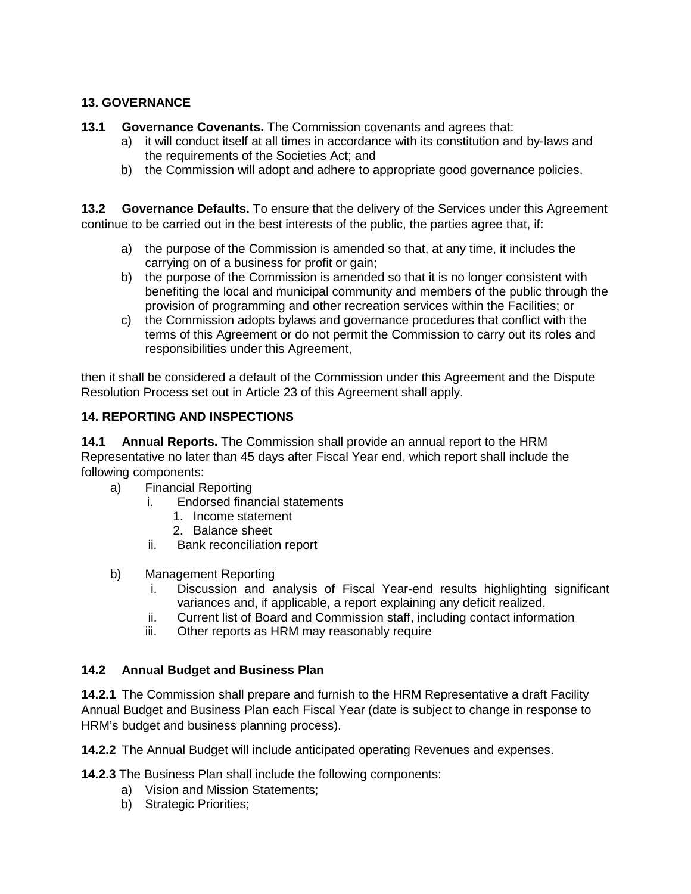#### **13. GOVERNANCE**

#### **13.1 Governance Covenants.** The Commission covenants and agrees that:

- a) it will conduct itself at all times in accordance with its constitution and by-laws and the requirements of the Societies Act; and
- b) the Commission will adopt and adhere to appropriate good governance policies.

**13.2 Governance Defaults.** To ensure that the delivery of the Services under this Agreement continue to be carried out in the best interests of the public, the parties agree that, if:

- a) the purpose of the Commission is amended so that, at any time, it includes the carrying on of a business for profit or gain;
- b) the purpose of the Commission is amended so that it is no longer consistent with benefiting the local and municipal community and members of the public through the provision of programming and other recreation services within the Facilities; or
- c) the Commission adopts bylaws and governance procedures that conflict with the terms of this Agreement or do not permit the Commission to carry out its roles and responsibilities under this Agreement,

then it shall be considered a default of the Commission under this Agreement and the Dispute Resolution Process set out in Article 23 of this Agreement shall apply.

#### **14. REPORTING AND INSPECTIONS**

**14.1 Annual Reports.** The Commission shall provide an annual report to the HRM Representative no later than 45 days after Fiscal Year end, which report shall include the following components:

- a) Financial Reporting
	- i. Endorsed financial statements
		- 1. Income statement
		- 2. Balance sheet
	- ii. Bank reconciliation report
- b) Management Reporting
	- i. Discussion and analysis of Fiscal Year-end results highlighting significant variances and, if applicable, a report explaining any deficit realized.
	- ii. Current list of Board and Commission staff, including contact information
	- iii. Other reports as HRM may reasonably require

#### **14.2 Annual Budget and Business Plan**

**14.2.1** The Commission shall prepare and furnish to the HRM Representative a draft Facility Annual Budget and Business Plan each Fiscal Year (date is subject to change in response to HRM's budget and business planning process).

**14.2.2** The Annual Budget will include anticipated operating Revenues and expenses.

**14.2.3** The Business Plan shall include the following components:

- a) Vision and Mission Statements;
- b) Strategic Priorities;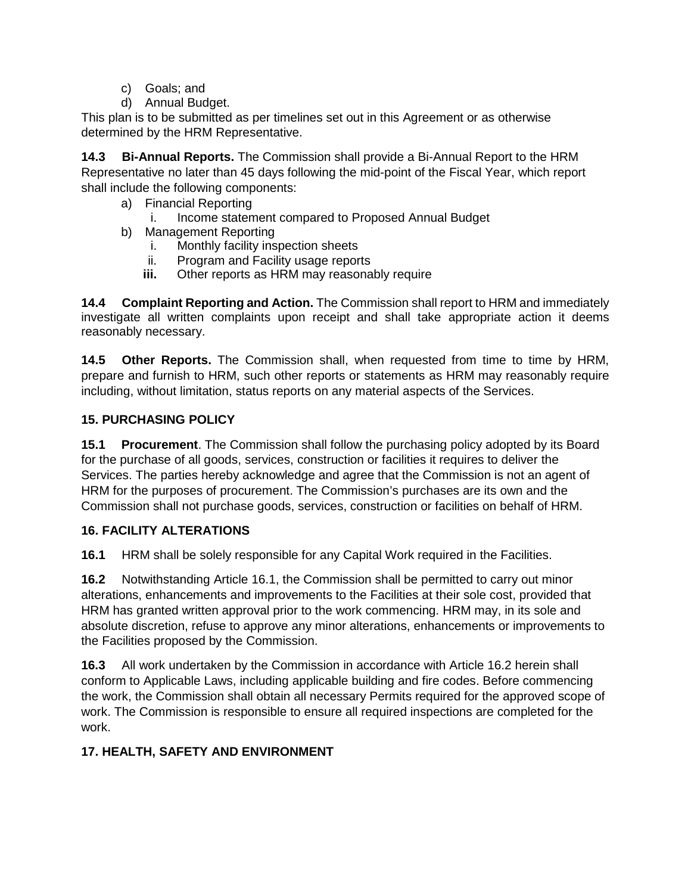- c) Goals; and
- d) Annual Budget.

This plan is to be submitted as per timelines set out in this Agreement or as otherwise determined by the HRM Representative.

**14.3 Bi-Annual Reports.** The Commission shall provide a Bi-Annual Report to the HRM Representative no later than 45 days following the mid-point of the Fiscal Year, which report shall include the following components:

- a) Financial Reporting
	- i. Income statement compared to Proposed Annual Budget
- b) Management Reporting
	- i. Monthly facility inspection sheets
	- ii. Program and Facility usage reports
	- **iii.** Other reports as HRM may reasonably require

**14.4 Complaint Reporting and Action.** The Commission shall report to HRM and immediately investigate all written complaints upon receipt and shall take appropriate action it deems reasonably necessary.

**14.5 Other Reports.** The Commission shall, when requested from time to time by HRM, prepare and furnish to HRM, such other reports or statements as HRM may reasonably require including, without limitation, status reports on any material aspects of the Services.

## **15. PURCHASING POLICY**

**15.1 Procurement**. The Commission shall follow the purchasing policy adopted by its Board for the purchase of all goods, services, construction or facilities it requires to deliver the Services. The parties hereby acknowledge and agree that the Commission is not an agent of HRM for the purposes of procurement. The Commission's purchases are its own and the Commission shall not purchase goods, services, construction or facilities on behalf of HRM.

## **16. FACILITY ALTERATIONS**

**16.1** HRM shall be solely responsible for any Capital Work required in the Facilities.

**16.2** Notwithstanding Article 16.1, the Commission shall be permitted to carry out minor alterations, enhancements and improvements to the Facilities at their sole cost, provided that HRM has granted written approval prior to the work commencing. HRM may, in its sole and absolute discretion, refuse to approve any minor alterations, enhancements or improvements to the Facilities proposed by the Commission.

**16.3** All work undertaken by the Commission in accordance with Article 16.2 herein shall conform to Applicable Laws, including applicable building and fire codes. Before commencing the work, the Commission shall obtain all necessary Permits required for the approved scope of work. The Commission is responsible to ensure all required inspections are completed for the work.

## **17. HEALTH, SAFETY AND ENVIRONMENT**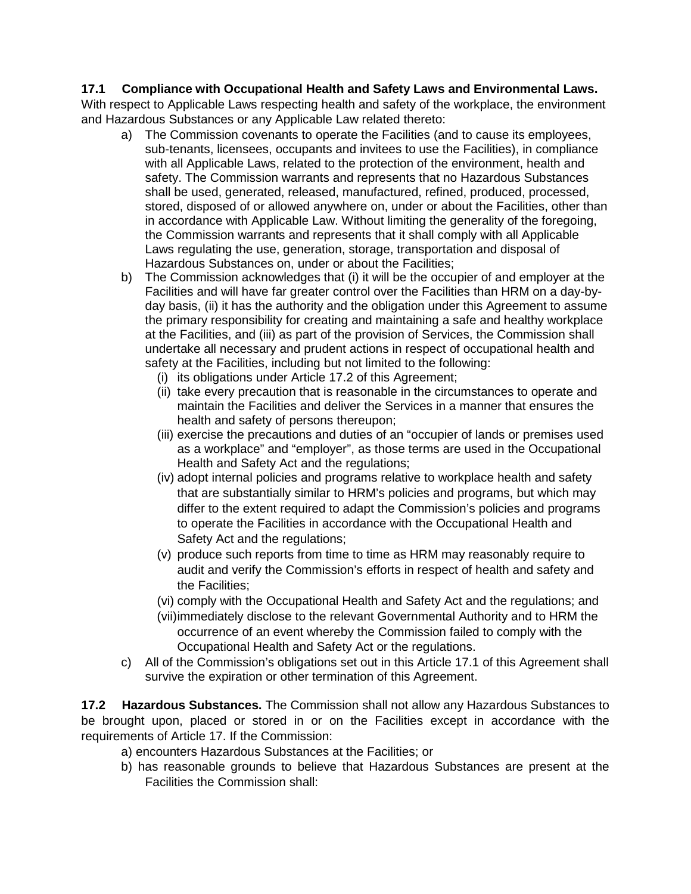#### **17.1 Compliance with Occupational Health and Safety Laws and Environmental Laws.**

With respect to Applicable Laws respecting health and safety of the workplace, the environment and Hazardous Substances or any Applicable Law related thereto:

- a) The Commission covenants to operate the Facilities (and to cause its employees, sub-tenants, licensees, occupants and invitees to use the Facilities), in compliance with all Applicable Laws, related to the protection of the environment, health and safety. The Commission warrants and represents that no Hazardous Substances shall be used, generated, released, manufactured, refined, produced, processed, stored, disposed of or allowed anywhere on, under or about the Facilities, other than in accordance with Applicable Law. Without limiting the generality of the foregoing, the Commission warrants and represents that it shall comply with all Applicable Laws regulating the use, generation, storage, transportation and disposal of Hazardous Substances on, under or about the Facilities;
- b) The Commission acknowledges that (i) it will be the occupier of and employer at the Facilities and will have far greater control over the Facilities than HRM on a day-byday basis, (ii) it has the authority and the obligation under this Agreement to assume the primary responsibility for creating and maintaining a safe and healthy workplace at the Facilities, and (iii) as part of the provision of Services, the Commission shall undertake all necessary and prudent actions in respect of occupational health and safety at the Facilities, including but not limited to the following:
	- (i) its obligations under Article 17.2 of this Agreement;
	- (ii) take every precaution that is reasonable in the circumstances to operate and maintain the Facilities and deliver the Services in a manner that ensures the health and safety of persons thereupon;
	- (iii) exercise the precautions and duties of an "occupier of lands or premises used as a workplace" and "employer", as those terms are used in the Occupational Health and Safety Act and the regulations;
	- (iv) adopt internal policies and programs relative to workplace health and safety that are substantially similar to HRM's policies and programs, but which may differ to the extent required to adapt the Commission's policies and programs to operate the Facilities in accordance with the Occupational Health and Safety Act and the regulations;
	- (v) produce such reports from time to time as HRM may reasonably require to audit and verify the Commission's efforts in respect of health and safety and the Facilities;
	- (vi) comply with the Occupational Health and Safety Act and the regulations; and
	- (vii)immediately disclose to the relevant Governmental Authority and to HRM the occurrence of an event whereby the Commission failed to comply with the Occupational Health and Safety Act or the regulations.
- c) All of the Commission's obligations set out in this Article 17.1 of this Agreement shall survive the expiration or other termination of this Agreement.

**17.2 Hazardous Substances.** The Commission shall not allow any Hazardous Substances to be brought upon, placed or stored in or on the Facilities except in accordance with the requirements of Article 17. If the Commission:

- a) encounters Hazardous Substances at the Facilities; or
- b) has reasonable grounds to believe that Hazardous Substances are present at the Facilities the Commission shall: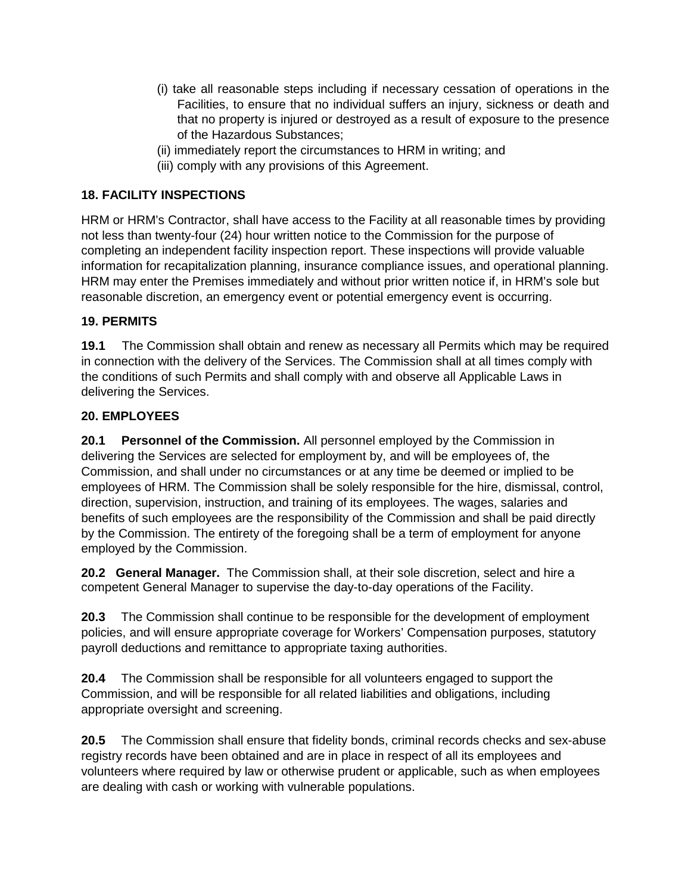- (i) take all reasonable steps including if necessary cessation of operations in the Facilities, to ensure that no individual suffers an injury, sickness or death and that no property is injured or destroyed as a result of exposure to the presence of the Hazardous Substances;
- (ii) immediately report the circumstances to HRM in writing; and
- (iii) comply with any provisions of this Agreement.

#### **18. FACILITY INSPECTIONS**

HRM or HRM's Contractor, shall have access to the Facility at all reasonable times by providing not less than twenty-four (24) hour written notice to the Commission for the purpose of completing an independent facility inspection report. These inspections will provide valuable information for recapitalization planning, insurance compliance issues, and operational planning. HRM may enter the Premises immediately and without prior written notice if, in HRM's sole but reasonable discretion, an emergency event or potential emergency event is occurring.

#### **19. PERMITS**

**19.1** The Commission shall obtain and renew as necessary all Permits which may be required in connection with the delivery of the Services. The Commission shall at all times comply with the conditions of such Permits and shall comply with and observe all Applicable Laws in delivering the Services.

#### **20. EMPLOYEES**

**20.1 Personnel of the Commission.** All personnel employed by the Commission in delivering the Services are selected for employment by, and will be employees of, the Commission, and shall under no circumstances or at any time be deemed or implied to be employees of HRM. The Commission shall be solely responsible for the hire, dismissal, control, direction, supervision, instruction, and training of its employees. The wages, salaries and benefits of such employees are the responsibility of the Commission and shall be paid directly by the Commission. The entirety of the foregoing shall be a term of employment for anyone employed by the Commission.

**20.2 General Manager.** The Commission shall, at their sole discretion, select and hire a competent General Manager to supervise the day-to-day operations of the Facility.

**20.3** The Commission shall continue to be responsible for the development of employment policies, and will ensure appropriate coverage for Workers' Compensation purposes, statutory payroll deductions and remittance to appropriate taxing authorities.

**20.4** The Commission shall be responsible for all volunteers engaged to support the Commission, and will be responsible for all related liabilities and obligations, including appropriate oversight and screening.

**20.5** The Commission shall ensure that fidelity bonds, criminal records checks and sex-abuse registry records have been obtained and are in place in respect of all its employees and volunteers where required by law or otherwise prudent or applicable, such as when employees are dealing with cash or working with vulnerable populations.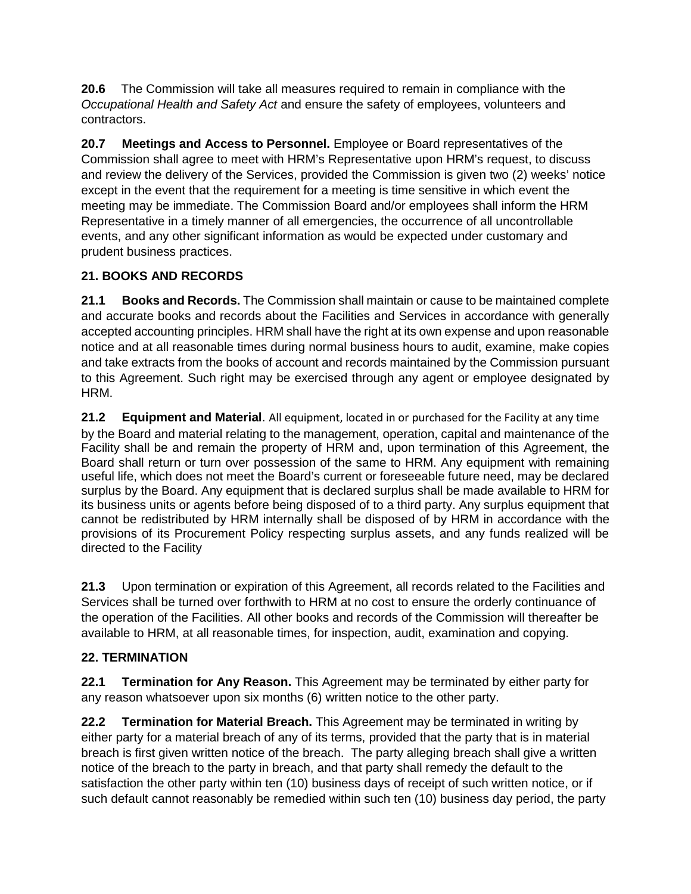**20.6** The Commission will take all measures required to remain in compliance with the *Occupational Health and Safety Act* and ensure the safety of employees, volunteers and contractors.

**20.7 Meetings and Access to Personnel.** Employee or Board representatives of the Commission shall agree to meet with HRM's Representative upon HRM's request, to discuss and review the delivery of the Services, provided the Commission is given two (2) weeks' notice except in the event that the requirement for a meeting is time sensitive in which event the meeting may be immediate. The Commission Board and/or employees shall inform the HRM Representative in a timely manner of all emergencies, the occurrence of all uncontrollable events, and any other significant information as would be expected under customary and prudent business practices.

## **21. BOOKS AND RECORDS**

**21.1 Books and Records.** The Commission shall maintain or cause to be maintained complete and accurate books and records about the Facilities and Services in accordance with generally accepted accounting principles. HRM shall have the right at its own expense and upon reasonable notice and at all reasonable times during normal business hours to audit, examine, make copies and take extracts from the books of account and records maintained by the Commission pursuant to this Agreement. Such right may be exercised through any agent or employee designated by HRM.

**21.2 Equipment and Material**. All equipment, located in or purchased for the Facility at any time by the Board and material relating to the management, operation, capital and maintenance of the Facility shall be and remain the property of HRM and, upon termination of this Agreement, the Board shall return or turn over possession of the same to HRM. Any equipment with remaining useful life, which does not meet the Board's current or foreseeable future need, may be declared surplus by the Board. Any equipment that is declared surplus shall be made available to HRM for its business units or agents before being disposed of to a third party. Any surplus equipment that cannot be redistributed by HRM internally shall be disposed of by HRM in accordance with the provisions of its Procurement Policy respecting surplus assets, and any funds realized will be directed to the Facility

**21.3** Upon termination or expiration of this Agreement, all records related to the Facilities and Services shall be turned over forthwith to HRM at no cost to ensure the orderly continuance of the operation of the Facilities. All other books and records of the Commission will thereafter be available to HRM, at all reasonable times, for inspection, audit, examination and copying.

#### **22. TERMINATION**

**22.1 Termination for Any Reason.** This Agreement may be terminated by either party for any reason whatsoever upon six months (6) written notice to the other party.

**22.2 Termination for Material Breach.** This Agreement may be terminated in writing by either party for a material breach of any of its terms, provided that the party that is in material breach is first given written notice of the breach. The party alleging breach shall give a written notice of the breach to the party in breach, and that party shall remedy the default to the satisfaction the other party within ten (10) business days of receipt of such written notice, or if such default cannot reasonably be remedied within such ten (10) business day period, the party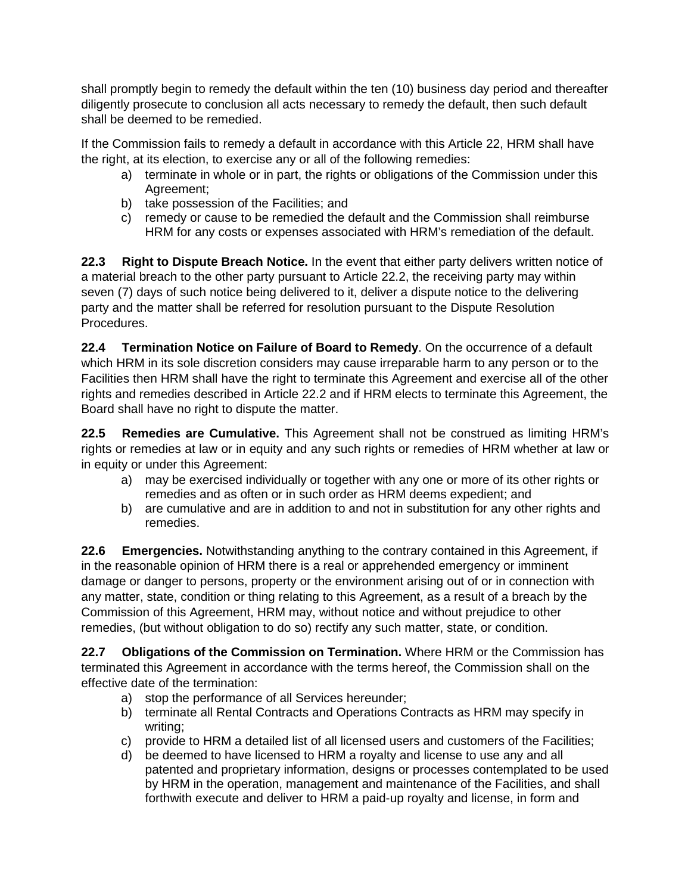shall promptly begin to remedy the default within the ten (10) business day period and thereafter diligently prosecute to conclusion all acts necessary to remedy the default, then such default shall be deemed to be remedied.

If the Commission fails to remedy a default in accordance with this Article 22, HRM shall have the right, at its election, to exercise any or all of the following remedies:

- a) terminate in whole or in part, the rights or obligations of the Commission under this Agreement;
- b) take possession of the Facilities; and
- c) remedy or cause to be remedied the default and the Commission shall reimburse HRM for any costs or expenses associated with HRM's remediation of the default.

**22.3 Right to Dispute Breach Notice.** In the event that either party delivers written notice of a material breach to the other party pursuant to Article 22.2, the receiving party may within seven (7) days of such notice being delivered to it, deliver a dispute notice to the delivering party and the matter shall be referred for resolution pursuant to the Dispute Resolution Procedures.

**22.4 Termination Notice on Failure of Board to Remedy**. On the occurrence of a default which HRM in its sole discretion considers may cause irreparable harm to any person or to the Facilities then HRM shall have the right to terminate this Agreement and exercise all of the other rights and remedies described in Article 22.2 and if HRM elects to terminate this Agreement, the Board shall have no right to dispute the matter.

**22.5 Remedies are Cumulative.** This Agreement shall not be construed as limiting HRM's rights or remedies at law or in equity and any such rights or remedies of HRM whether at law or in equity or under this Agreement:

- a) may be exercised individually or together with any one or more of its other rights or remedies and as often or in such order as HRM deems expedient; and
- b) are cumulative and are in addition to and not in substitution for any other rights and remedies.

**22.6 Emergencies.** Notwithstanding anything to the contrary contained in this Agreement, if in the reasonable opinion of HRM there is a real or apprehended emergency or imminent damage or danger to persons, property or the environment arising out of or in connection with any matter, state, condition or thing relating to this Agreement, as a result of a breach by the Commission of this Agreement, HRM may, without notice and without prejudice to other remedies, (but without obligation to do so) rectify any such matter, state, or condition.

**22.7 Obligations of the Commission on Termination.** Where HRM or the Commission has terminated this Agreement in accordance with the terms hereof, the Commission shall on the effective date of the termination:

- a) stop the performance of all Services hereunder;
- b) terminate all Rental Contracts and Operations Contracts as HRM may specify in writing;
- c) provide to HRM a detailed list of all licensed users and customers of the Facilities;
- d) be deemed to have licensed to HRM a royalty and license to use any and all patented and proprietary information, designs or processes contemplated to be used by HRM in the operation, management and maintenance of the Facilities, and shall forthwith execute and deliver to HRM a paid-up royalty and license, in form and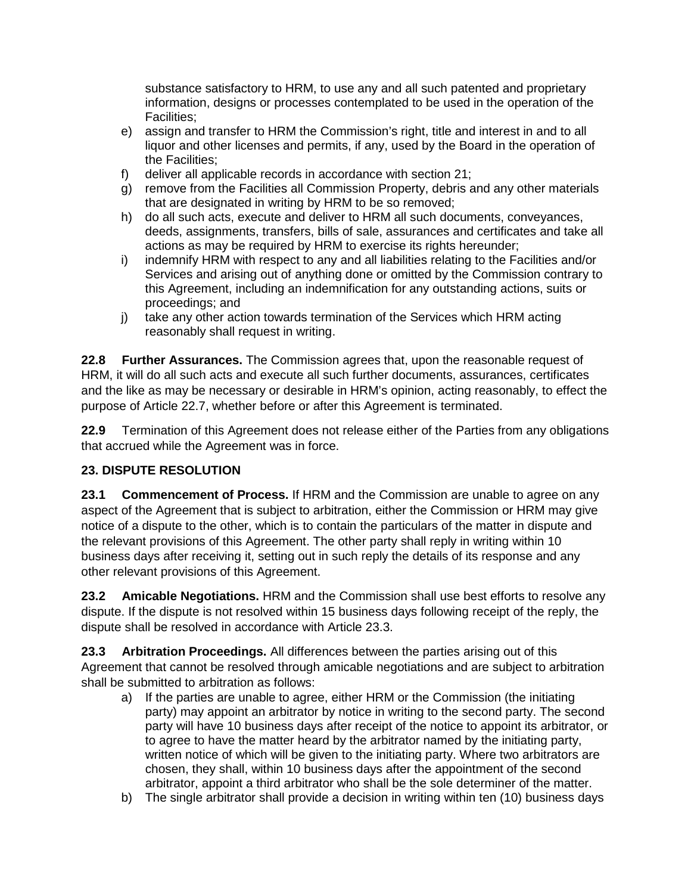substance satisfactory to HRM, to use any and all such patented and proprietary information, designs or processes contemplated to be used in the operation of the Facilities;

- e) assign and transfer to HRM the Commission's right, title and interest in and to all liquor and other licenses and permits, if any, used by the Board in the operation of the Facilities;
- f) deliver all applicable records in accordance with section 21;
- g) remove from the Facilities all Commission Property, debris and any other materials that are designated in writing by HRM to be so removed;
- h) do all such acts, execute and deliver to HRM all such documents, conveyances, deeds, assignments, transfers, bills of sale, assurances and certificates and take all actions as may be required by HRM to exercise its rights hereunder;
- i) indemnify HRM with respect to any and all liabilities relating to the Facilities and/or Services and arising out of anything done or omitted by the Commission contrary to this Agreement, including an indemnification for any outstanding actions, suits or proceedings; and
- j) take any other action towards termination of the Services which HRM acting reasonably shall request in writing.

**22.8 Further Assurances.** The Commission agrees that, upon the reasonable request of HRM, it will do all such acts and execute all such further documents, assurances, certificates and the like as may be necessary or desirable in HRM's opinion, acting reasonably, to effect the purpose of Article 22.7, whether before or after this Agreement is terminated.

**22.9** Termination of this Agreement does not release either of the Parties from any obligations that accrued while the Agreement was in force.

#### **23. DISPUTE RESOLUTION**

**23.1 Commencement of Process.** If HRM and the Commission are unable to agree on any aspect of the Agreement that is subject to arbitration, either the Commission or HRM may give notice of a dispute to the other, which is to contain the particulars of the matter in dispute and the relevant provisions of this Agreement. The other party shall reply in writing within 10 business days after receiving it, setting out in such reply the details of its response and any other relevant provisions of this Agreement.

**23.2 Amicable Negotiations.** HRM and the Commission shall use best efforts to resolve any dispute. If the dispute is not resolved within 15 business days following receipt of the reply, the dispute shall be resolved in accordance with Article 23.3.

**23.3 Arbitration Proceedings.** All differences between the parties arising out of this Agreement that cannot be resolved through amicable negotiations and are subject to arbitration shall be submitted to arbitration as follows:

- a) If the parties are unable to agree, either HRM or the Commission (the initiating party) may appoint an arbitrator by notice in writing to the second party. The second party will have 10 business days after receipt of the notice to appoint its arbitrator, or to agree to have the matter heard by the arbitrator named by the initiating party, written notice of which will be given to the initiating party. Where two arbitrators are chosen, they shall, within 10 business days after the appointment of the second arbitrator, appoint a third arbitrator who shall be the sole determiner of the matter.
- b) The single arbitrator shall provide a decision in writing within ten (10) business days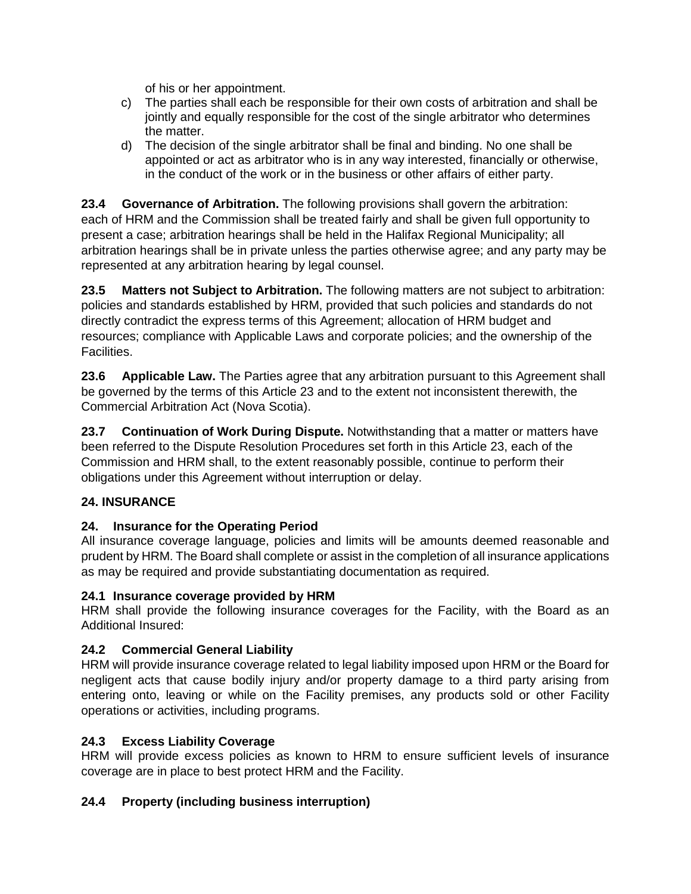of his or her appointment.

- c) The parties shall each be responsible for their own costs of arbitration and shall be jointly and equally responsible for the cost of the single arbitrator who determines the matter.
- d) The decision of the single arbitrator shall be final and binding. No one shall be appointed or act as arbitrator who is in any way interested, financially or otherwise, in the conduct of the work or in the business or other affairs of either party.

**23.4 Governance of Arbitration.** The following provisions shall govern the arbitration: each of HRM and the Commission shall be treated fairly and shall be given full opportunity to present a case; arbitration hearings shall be held in the Halifax Regional Municipality; all arbitration hearings shall be in private unless the parties otherwise agree; and any party may be represented at any arbitration hearing by legal counsel.

**23.5 Matters not Subject to Arbitration.** The following matters are not subject to arbitration: policies and standards established by HRM, provided that such policies and standards do not directly contradict the express terms of this Agreement; allocation of HRM budget and resources; compliance with Applicable Laws and corporate policies; and the ownership of the Facilities.

**23.6 Applicable Law.** The Parties agree that any arbitration pursuant to this Agreement shall be governed by the terms of this Article 23 and to the extent not inconsistent therewith, the Commercial Arbitration Act (Nova Scotia).

**23.7 Continuation of Work During Dispute.** Notwithstanding that a matter or matters have been referred to the Dispute Resolution Procedures set forth in this Article 23, each of the Commission and HRM shall, to the extent reasonably possible, continue to perform their obligations under this Agreement without interruption or delay.

#### **24. INSURANCE**

#### **24. Insurance for the Operating Period**

All insurance coverage language, policies and limits will be amounts deemed reasonable and prudent by HRM. The Board shall complete or assist in the completion of all insurance applications as may be required and provide substantiating documentation as required.

#### **24.1 Insurance coverage provided by HRM**

HRM shall provide the following insurance coverages for the Facility, with the Board as an Additional Insured:

#### **24.2 Commercial General Liability**

HRM will provide insurance coverage related to legal liability imposed upon HRM or the Board for negligent acts that cause bodily injury and/or property damage to a third party arising from entering onto, leaving or while on the Facility premises, any products sold or other Facility operations or activities, including programs.

#### **24.3 Excess Liability Coverage**

HRM will provide excess policies as known to HRM to ensure sufficient levels of insurance coverage are in place to best protect HRM and the Facility.

#### **24.4 Property (including business interruption)**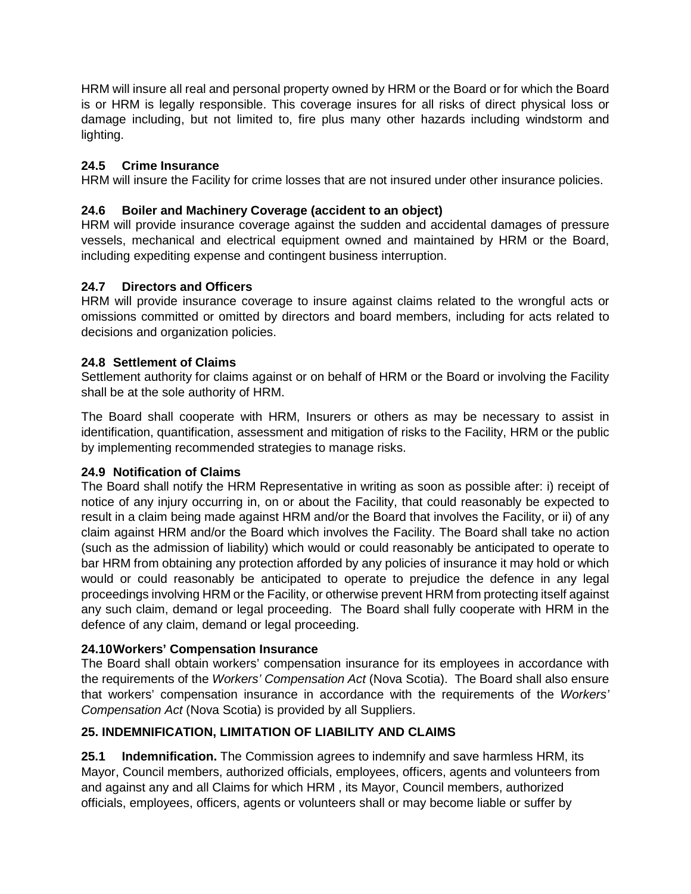HRM will insure all real and personal property owned by HRM or the Board or for which the Board is or HRM is legally responsible. This coverage insures for all risks of direct physical loss or damage including, but not limited to, fire plus many other hazards including windstorm and lighting.

#### **24.5 Crime Insurance**

HRM will insure the Facility for crime losses that are not insured under other insurance policies.

#### **24.6 Boiler and Machinery Coverage (accident to an object)**

HRM will provide insurance coverage against the sudden and accidental damages of pressure vessels, mechanical and electrical equipment owned and maintained by HRM or the Board, including expediting expense and contingent business interruption.

#### **24.7 Directors and Officers**

HRM will provide insurance coverage to insure against claims related to the wrongful acts or omissions committed or omitted by directors and board members, including for acts related to decisions and organization policies.

#### **24.8 Settlement of Claims**

Settlement authority for claims against or on behalf of HRM or the Board or involving the Facility shall be at the sole authority of HRM.

The Board shall cooperate with HRM, Insurers or others as may be necessary to assist in identification, quantification, assessment and mitigation of risks to the Facility, HRM or the public by implementing recommended strategies to manage risks.

#### **24.9 Notification of Claims**

The Board shall notify the HRM Representative in writing as soon as possible after: i) receipt of notice of any injury occurring in, on or about the Facility, that could reasonably be expected to result in a claim being made against HRM and/or the Board that involves the Facility, or ii) of any claim against HRM and/or the Board which involves the Facility. The Board shall take no action (such as the admission of liability) which would or could reasonably be anticipated to operate to bar HRM from obtaining any protection afforded by any policies of insurance it may hold or which would or could reasonably be anticipated to operate to prejudice the defence in any legal proceedings involving HRM or the Facility, or otherwise prevent HRM from protecting itself against any such claim, demand or legal proceeding. The Board shall fully cooperate with HRM in the defence of any claim, demand or legal proceeding.

#### **24.10Workers' Compensation Insurance**

The Board shall obtain workers' compensation insurance for its employees in accordance with the requirements of the *Workers' Compensation Act* (Nova Scotia). The Board shall also ensure that workers' compensation insurance in accordance with the requirements of the *Workers' Compensation Act* (Nova Scotia) is provided by all Suppliers.

#### **25. INDEMNIFICATION, LIMITATION OF LIABILITY AND CLAIMS**

**25.1 Indemnification.** The Commission agrees to indemnify and save harmless HRM, its Mayor, Council members, authorized officials, employees, officers, agents and volunteers from and against any and all Claims for which HRM , its Mayor, Council members, authorized officials, employees, officers, agents or volunteers shall or may become liable or suffer by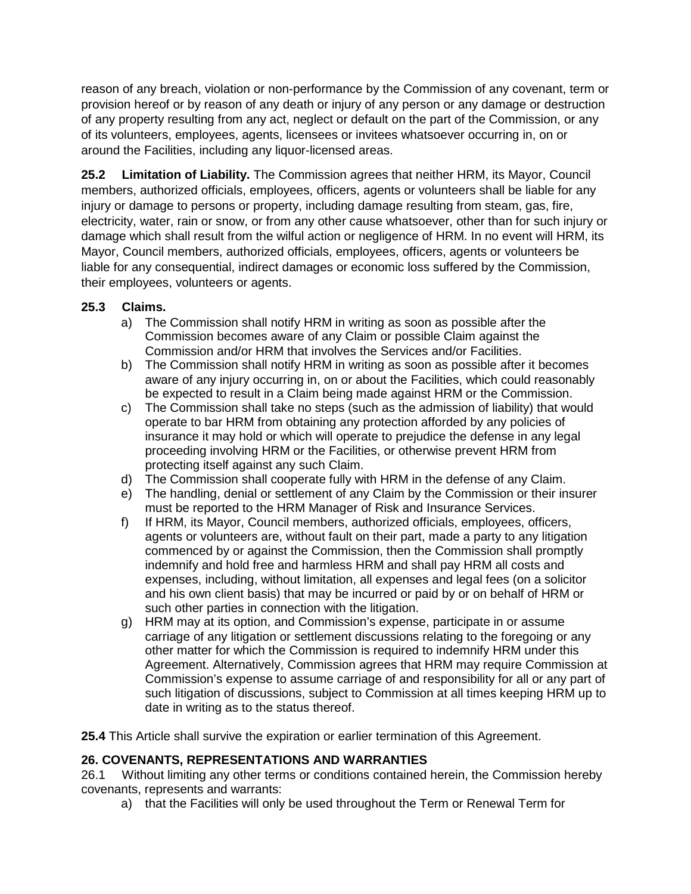reason of any breach, violation or non-performance by the Commission of any covenant, term or provision hereof or by reason of any death or injury of any person or any damage or destruction of any property resulting from any act, neglect or default on the part of the Commission, or any of its volunteers, employees, agents, licensees or invitees whatsoever occurring in, on or around the Facilities, including any liquor-licensed areas.

**25.2 Limitation of Liability.** The Commission agrees that neither HRM, its Mayor, Council members, authorized officials, employees, officers, agents or volunteers shall be liable for any injury or damage to persons or property, including damage resulting from steam, gas, fire, electricity, water, rain or snow, or from any other cause whatsoever, other than for such injury or damage which shall result from the wilful action or negligence of HRM. In no event will HRM, its Mayor, Council members, authorized officials, employees, officers, agents or volunteers be liable for any consequential, indirect damages or economic loss suffered by the Commission, their employees, volunteers or agents.

## **25.3 Claims.**

- a) The Commission shall notify HRM in writing as soon as possible after the Commission becomes aware of any Claim or possible Claim against the Commission and/or HRM that involves the Services and/or Facilities.
- b) The Commission shall notify HRM in writing as soon as possible after it becomes aware of any injury occurring in, on or about the Facilities, which could reasonably be expected to result in a Claim being made against HRM or the Commission.
- c) The Commission shall take no steps (such as the admission of liability) that would operate to bar HRM from obtaining any protection afforded by any policies of insurance it may hold or which will operate to prejudice the defense in any legal proceeding involving HRM or the Facilities, or otherwise prevent HRM from protecting itself against any such Claim.
- d) The Commission shall cooperate fully with HRM in the defense of any Claim.
- e) The handling, denial or settlement of any Claim by the Commission or their insurer must be reported to the HRM Manager of Risk and Insurance Services.
- f) If HRM, its Mayor, Council members, authorized officials, employees, officers, agents or volunteers are, without fault on their part, made a party to any litigation commenced by or against the Commission, then the Commission shall promptly indemnify and hold free and harmless HRM and shall pay HRM all costs and expenses, including, without limitation, all expenses and legal fees (on a solicitor and his own client basis) that may be incurred or paid by or on behalf of HRM or such other parties in connection with the litigation.
- g) HRM may at its option, and Commission's expense, participate in or assume carriage of any litigation or settlement discussions relating to the foregoing or any other matter for which the Commission is required to indemnify HRM under this Agreement. Alternatively, Commission agrees that HRM may require Commission at Commission's expense to assume carriage of and responsibility for all or any part of such litigation of discussions, subject to Commission at all times keeping HRM up to date in writing as to the status thereof.

**25.4** This Article shall survive the expiration or earlier termination of this Agreement.

## **26. COVENANTS, REPRESENTATIONS AND WARRANTIES**

26.1 Without limiting any other terms or conditions contained herein, the Commission hereby covenants, represents and warrants:

a) that the Facilities will only be used throughout the Term or Renewal Term for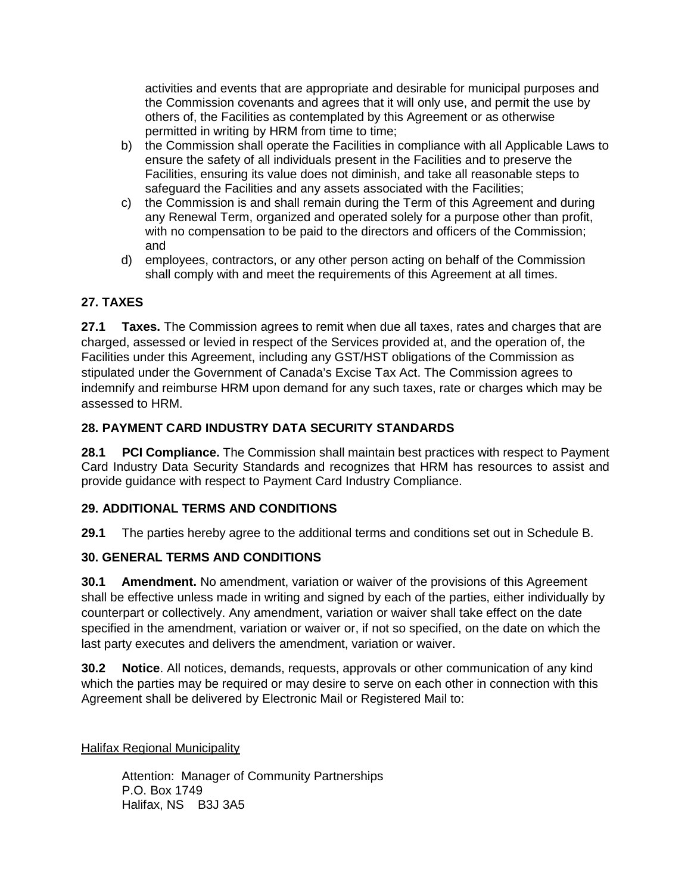activities and events that are appropriate and desirable for municipal purposes and the Commission covenants and agrees that it will only use, and permit the use by others of, the Facilities as contemplated by this Agreement or as otherwise permitted in writing by HRM from time to time;

- b) the Commission shall operate the Facilities in compliance with all Applicable Laws to ensure the safety of all individuals present in the Facilities and to preserve the Facilities, ensuring its value does not diminish, and take all reasonable steps to safeguard the Facilities and any assets associated with the Facilities;
- c) the Commission is and shall remain during the Term of this Agreement and during any Renewal Term, organized and operated solely for a purpose other than profit, with no compensation to be paid to the directors and officers of the Commission; and
- d) employees, contractors, or any other person acting on behalf of the Commission shall comply with and meet the requirements of this Agreement at all times.

## **27. TAXES**

**27.1 Taxes.** The Commission agrees to remit when due all taxes, rates and charges that are charged, assessed or levied in respect of the Services provided at, and the operation of, the Facilities under this Agreement, including any GST/HST obligations of the Commission as stipulated under the Government of Canada's Excise Tax Act. The Commission agrees to indemnify and reimburse HRM upon demand for any such taxes, rate or charges which may be assessed to HRM.

## **28. PAYMENT CARD INDUSTRY DATA SECURITY STANDARDS**

**28.1 PCI Compliance.** The Commission shall maintain best practices with respect to Payment Card Industry Data Security Standards and recognizes that HRM has resources to assist and provide guidance with respect to Payment Card Industry Compliance.

#### **29. ADDITIONAL TERMS AND CONDITIONS**

**29.1** The parties hereby agree to the additional terms and conditions set out in Schedule B.

#### **30. GENERAL TERMS AND CONDITIONS**

**30.1 Amendment.** No amendment, variation or waiver of the provisions of this Agreement shall be effective unless made in writing and signed by each of the parties, either individually by counterpart or collectively. Any amendment, variation or waiver shall take effect on the date specified in the amendment, variation or waiver or, if not so specified, on the date on which the last party executes and delivers the amendment, variation or waiver.

**30.2 Notice**. All notices, demands, requests, approvals or other communication of any kind which the parties may be required or may desire to serve on each other in connection with this Agreement shall be delivered by Electronic Mail or Registered Mail to:

Halifax Regional Municipality

Attention: Manager of Community Partnerships P.O. Box 1749 Halifax, NS B3J 3A5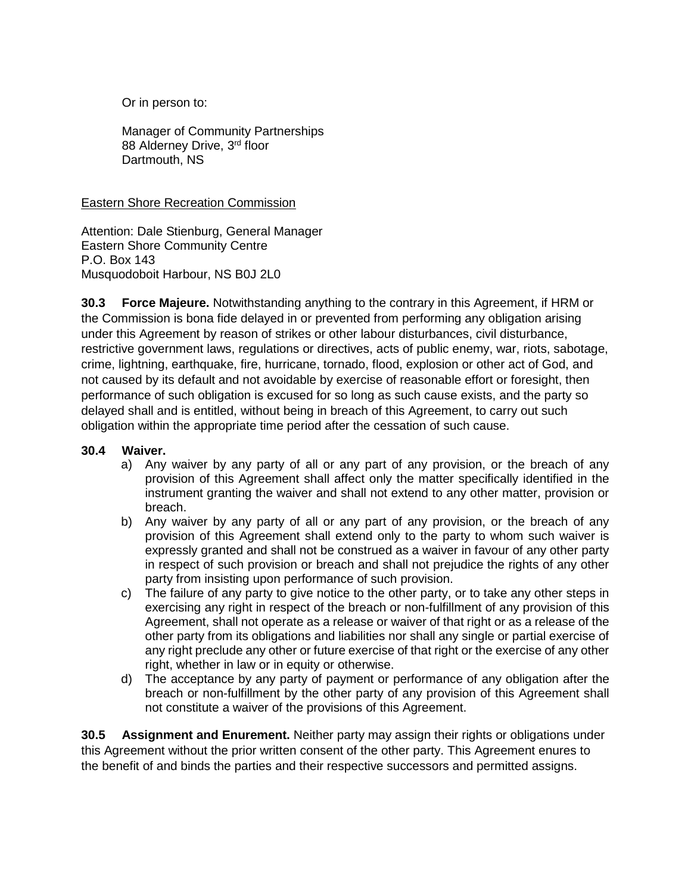Or in person to:

Manager of Community Partnerships 88 Alderney Drive, 3rd floor Dartmouth, NS

#### Eastern Shore Recreation Commission

Attention: Dale Stienburg, General Manager Eastern Shore Community Centre P.O. Box 143 Musquodoboit Harbour, NS B0J 2L0

**30.3 Force Majeure.** Notwithstanding anything to the contrary in this Agreement, if HRM or the Commission is bona fide delayed in or prevented from performing any obligation arising under this Agreement by reason of strikes or other labour disturbances, civil disturbance, restrictive government laws, regulations or directives, acts of public enemy, war, riots, sabotage, crime, lightning, earthquake, fire, hurricane, tornado, flood, explosion or other act of God, and not caused by its default and not avoidable by exercise of reasonable effort or foresight, then performance of such obligation is excused for so long as such cause exists, and the party so delayed shall and is entitled, without being in breach of this Agreement, to carry out such obligation within the appropriate time period after the cessation of such cause.

#### **30.4 Waiver.**

- a) Any waiver by any party of all or any part of any provision, or the breach of any provision of this Agreement shall affect only the matter specifically identified in the instrument granting the waiver and shall not extend to any other matter, provision or breach.
- b) Any waiver by any party of all or any part of any provision, or the breach of any provision of this Agreement shall extend only to the party to whom such waiver is expressly granted and shall not be construed as a waiver in favour of any other party in respect of such provision or breach and shall not prejudice the rights of any other party from insisting upon performance of such provision.
- c) The failure of any party to give notice to the other party, or to take any other steps in exercising any right in respect of the breach or non-fulfillment of any provision of this Agreement, shall not operate as a release or waiver of that right or as a release of the other party from its obligations and liabilities nor shall any single or partial exercise of any right preclude any other or future exercise of that right or the exercise of any other right, whether in law or in equity or otherwise.
- d) The acceptance by any party of payment or performance of any obligation after the breach or non-fulfillment by the other party of any provision of this Agreement shall not constitute a waiver of the provisions of this Agreement.

**30.5 Assignment and Enurement.** Neither party may assign their rights or obligations under this Agreement without the prior written consent of the other party. This Agreement enures to the benefit of and binds the parties and their respective successors and permitted assigns.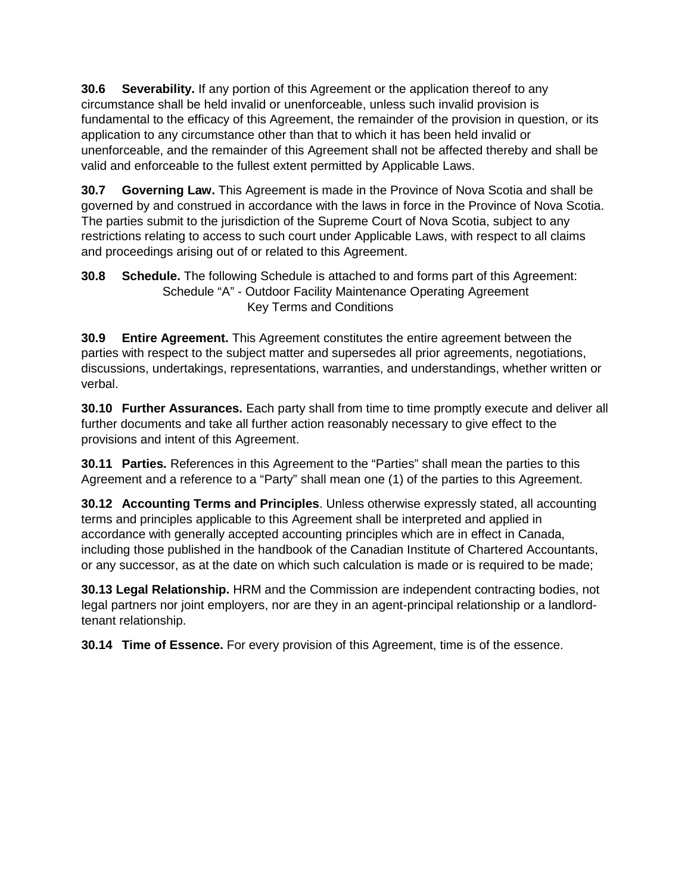**30.6 Severability.** If any portion of this Agreement or the application thereof to any circumstance shall be held invalid or unenforceable, unless such invalid provision is fundamental to the efficacy of this Agreement, the remainder of the provision in question, or its application to any circumstance other than that to which it has been held invalid or unenforceable, and the remainder of this Agreement shall not be affected thereby and shall be valid and enforceable to the fullest extent permitted by Applicable Laws.

**30.7 Governing Law.** This Agreement is made in the Province of Nova Scotia and shall be governed by and construed in accordance with the laws in force in the Province of Nova Scotia. The parties submit to the jurisdiction of the Supreme Court of Nova Scotia, subject to any restrictions relating to access to such court under Applicable Laws, with respect to all claims and proceedings arising out of or related to this Agreement.

**30.8 Schedule.** The following Schedule is attached to and forms part of this Agreement: Schedule "A" - Outdoor Facility Maintenance Operating Agreement Key Terms and Conditions

**30.9 Entire Agreement.** This Agreement constitutes the entire agreement between the parties with respect to the subject matter and supersedes all prior agreements, negotiations, discussions, undertakings, representations, warranties, and understandings, whether written or verbal.

**30.10 Further Assurances.** Each party shall from time to time promptly execute and deliver all further documents and take all further action reasonably necessary to give effect to the provisions and intent of this Agreement.

**30.11 Parties.** References in this Agreement to the "Parties" shall mean the parties to this Agreement and a reference to a "Party" shall mean one (1) of the parties to this Agreement.

**30.12 Accounting Terms and Principles**. Unless otherwise expressly stated, all accounting terms and principles applicable to this Agreement shall be interpreted and applied in accordance with generally accepted accounting principles which are in effect in Canada, including those published in the handbook of the Canadian Institute of Chartered Accountants, or any successor, as at the date on which such calculation is made or is required to be made;

**30.13 Legal Relationship.** HRM and the Commission are independent contracting bodies, not legal partners nor joint employers, nor are they in an agent-principal relationship or a landlordtenant relationship.

**30.14 Time of Essence.** For every provision of this Agreement, time is of the essence.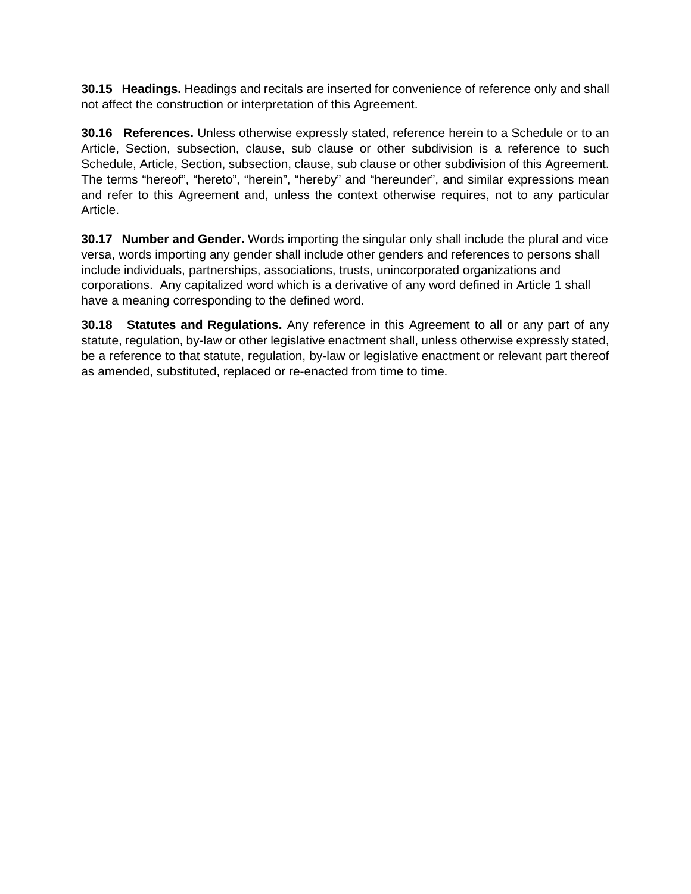**30.15 Headings.** Headings and recitals are inserted for convenience of reference only and shall not affect the construction or interpretation of this Agreement.

**30.16 References.** Unless otherwise expressly stated, reference herein to a Schedule or to an Article, Section, subsection, clause, sub clause or other subdivision is a reference to such Schedule, Article, Section, subsection, clause, sub clause or other subdivision of this Agreement. The terms "hereof", "hereto", "herein", "hereby" and "hereunder", and similar expressions mean and refer to this Agreement and, unless the context otherwise requires, not to any particular Article.

**30.17 Number and Gender.** Words importing the singular only shall include the plural and vice versa, words importing any gender shall include other genders and references to persons shall include individuals, partnerships, associations, trusts, unincorporated organizations and corporations. Any capitalized word which is a derivative of any word defined in Article 1 shall have a meaning corresponding to the defined word.

**30.18 Statutes and Regulations.** Any reference in this Agreement to all or any part of any statute, regulation, by-law or other legislative enactment shall, unless otherwise expressly stated, be a reference to that statute, regulation, by-law or legislative enactment or relevant part thereof as amended, substituted, replaced or re-enacted from time to time.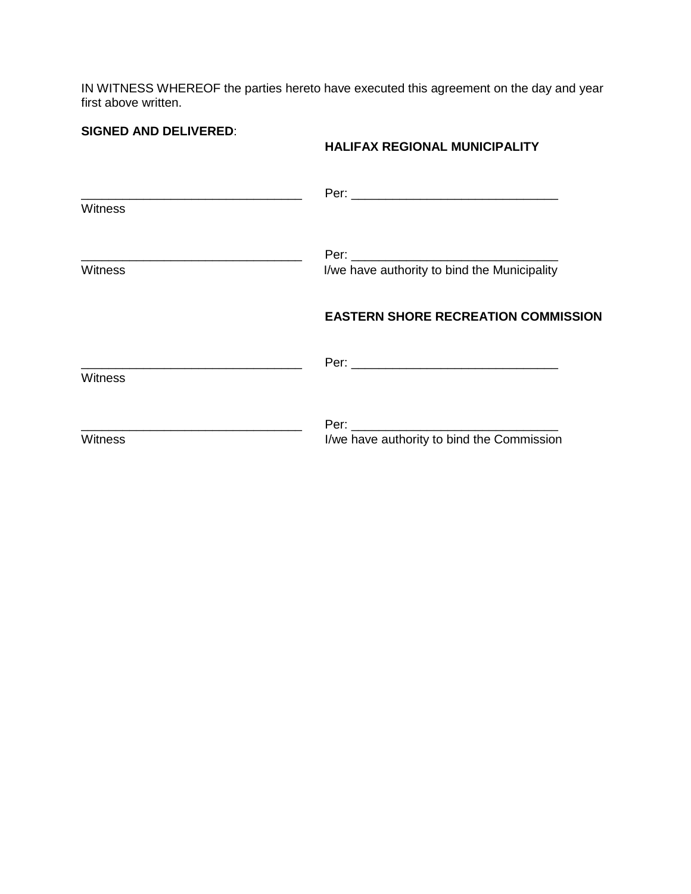IN WITNESS WHEREOF the parties hereto have executed this agreement on the day and year first above written.

**SIGNED AND DELIVERED**:

#### **HALIFAX REGIONAL MUNICIPALITY**

| Witness        |                                              |
|----------------|----------------------------------------------|
| <b>Witness</b> | I/we have authority to bind the Municipality |
|                | <b>EASTERN SHORE RECREATION COMMISSION</b>   |
| <b>Witness</b> |                                              |
| <b>Witness</b> | I/we have authority to bind the Commission   |